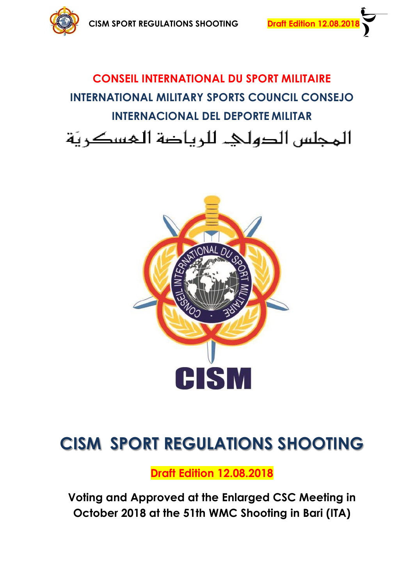



# **CONSEIL INTERNATIONAL DU SPORT MILITAIRE INTERNATIONAL MILITARY SPORTS COUNCIL CONSEJO INTERNACIONAL DEL DEPORTE MILITAR** المجلس الدوليء للرياضة المسكريّة



# **CISM SPORT REGULATIONS SHOOTING**

**Draft Edition 12.08.2018**

**Voting and Approved at the Enlarged CSC Meeting in October 2018 at the 51th WMC Shooting in Bari (ITA)**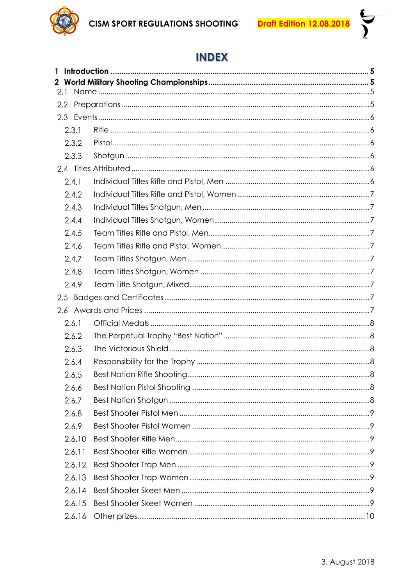

i<br>V<br>V

# **INDEX**

| 1                |        |  |
|------------------|--------|--|
| 2.1              |        |  |
| $2.2\phantom{0}$ |        |  |
| 2.3              |        |  |
|                  | 2.3.1  |  |
|                  | 2.3.2  |  |
|                  | 2.3.3  |  |
|                  |        |  |
|                  | 2.4.1  |  |
|                  | 2.4.2  |  |
|                  | 2.4.3  |  |
|                  | 2.4.4  |  |
|                  | 2.4.5  |  |
|                  | 2.4.6  |  |
|                  | 2.4.7  |  |
|                  | 2.4.8  |  |
|                  | 2.4.9  |  |
| 2.5              |        |  |
| 2.6              |        |  |
|                  | 2.6.1  |  |
|                  | 2.6.2  |  |
|                  | 2.6.3  |  |
|                  | 2.6.4  |  |
|                  | 2.6.5  |  |
|                  | 2.6.6  |  |
|                  | 2.6.7  |  |
|                  | 2.6.8  |  |
|                  | 2.6.9  |  |
|                  | 2.6.10 |  |
|                  | 2.6.11 |  |
|                  | 2.6.12 |  |
|                  | 2.6.13 |  |
|                  | 2.6.14 |  |
|                  | 2.6.15 |  |
|                  | 2.6.16 |  |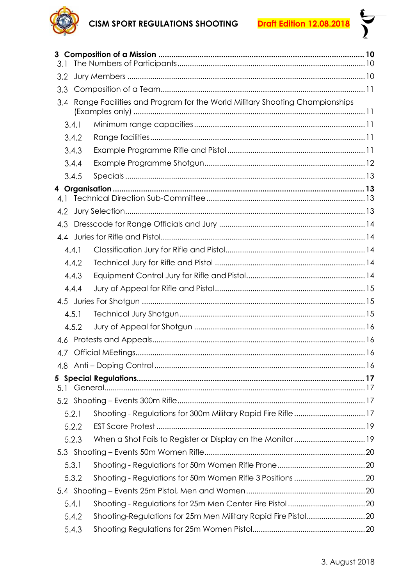# **CISM SPORT REGULATIONS SHOOTING**

**Draft Edition 12.08.2018** 



| 3.1   |                                                                            |  |
|-------|----------------------------------------------------------------------------|--|
| 3.2   |                                                                            |  |
| 3.3   |                                                                            |  |
| 3.4   | Range Facilities and Program for the World Military Shooting Championships |  |
| 3.4.1 |                                                                            |  |
| 3.4.2 |                                                                            |  |
| 3.4.3 |                                                                            |  |
| 3.4.4 |                                                                            |  |
| 3.4.5 |                                                                            |  |
|       |                                                                            |  |
| 4.1   |                                                                            |  |
| 4.2   |                                                                            |  |
| 4.3   |                                                                            |  |
|       |                                                                            |  |
| 4.4.1 |                                                                            |  |
| 4.4.2 |                                                                            |  |
| 4.4.3 |                                                                            |  |
| 4.4.4 |                                                                            |  |
|       |                                                                            |  |
| 4.5.1 |                                                                            |  |
| 4.5.2 |                                                                            |  |
|       |                                                                            |  |
|       |                                                                            |  |
|       |                                                                            |  |
|       |                                                                            |  |
| 5.1   |                                                                            |  |
|       |                                                                            |  |
| 5.2.1 | Shooting - Regulations for 300m Military Rapid Fire Rifle  17              |  |
| 5.2.2 |                                                                            |  |
| 5.2.3 |                                                                            |  |
|       |                                                                            |  |
| 5.3.1 |                                                                            |  |
| 5.3.2 |                                                                            |  |
|       |                                                                            |  |
| 5.4.1 |                                                                            |  |
| 5.4.2 |                                                                            |  |
| 5.4.3 |                                                                            |  |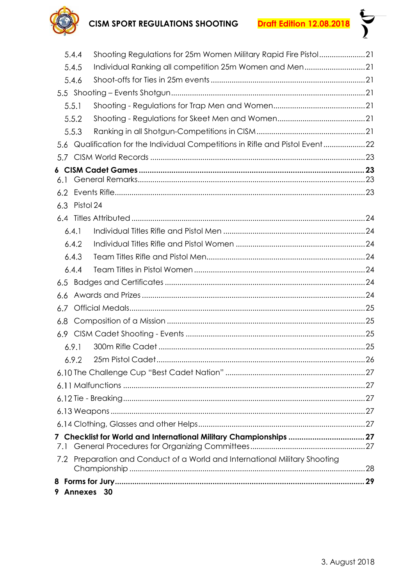

**SV** 

|     | 5.4.4     | Shooting Regulations for 25m Women Military Rapid Fire Pistol21           |    |
|-----|-----------|---------------------------------------------------------------------------|----|
|     | 5.4.5     | Individual Ranking all competition 25m Women and Men21                    |    |
|     | 5.4.6     |                                                                           |    |
|     |           |                                                                           |    |
|     | 5.5.1     |                                                                           |    |
|     | 5.5.2     |                                                                           |    |
|     | 5.5.3     |                                                                           |    |
| 5.6 |           | Qualification for the Individual Competitions in Rifle and Pistol Event22 |    |
| 5.7 |           |                                                                           |    |
|     |           |                                                                           |    |
| 6.1 |           |                                                                           |    |
| 6.2 |           |                                                                           |    |
| 6.3 | Pistol 24 |                                                                           |    |
|     |           |                                                                           |    |
|     | 6.4.1     |                                                                           |    |
|     | 6.4.2     |                                                                           |    |
|     | 6.4.3     |                                                                           |    |
|     | 6.4.4     |                                                                           |    |
| 6.5 |           |                                                                           |    |
| 6.6 |           |                                                                           |    |
| 6.7 |           |                                                                           |    |
| 6.8 |           |                                                                           |    |
| 6.9 |           |                                                                           |    |
|     | 6.9.1     |                                                                           |    |
|     | 692.      | 25m Pistol Cadet                                                          | 26 |
|     |           |                                                                           |    |
|     |           |                                                                           |    |
|     |           |                                                                           |    |
|     |           |                                                                           |    |
|     |           |                                                                           |    |
|     |           | 7 Checklist for World and International Military Championships  27        |    |
| 7.1 |           |                                                                           |    |
| 7.2 |           | Preparation and Conduct of a World and International Military Shooting    |    |
|     |           |                                                                           |    |
|     |           | 9 Annexes 30                                                              |    |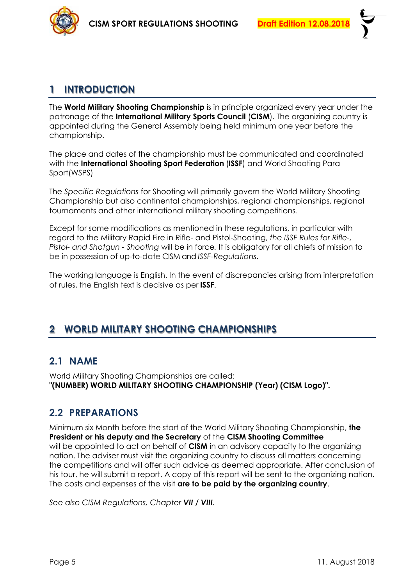

# <span id="page-4-0"></span>**1 INTRODUCTION**

The **World Military Shooting Championship** is in principle organized every year under the patronage of the **International Military Sports Council** (**CISM**). The organizing country is appointed during the General Assembly being held minimum one year before the championship.

The place and dates of the championship must be communicated and coordinated with the **International Shooting Sport Federation** (**ISSF**) and World Shooting Para Sport(WSPS)

The *Specific Regulations* for Shooting will primarily govern the World Military Shooting Championship but also continental championships, regional championships, regional tournaments and other international military shooting competitions*.*

Except for some modifications as mentioned in these regulations, in particular with regard to the Military Rapid Fire in Rifle- and Pistol-Shooting, *the ISSF Rules for Rifle-, Pistol- and Shotgun - Shooting* will be in force*.* It is obligatory for all chiefs of mission to be in possession of up-to-date CISM and *ISSF-Regulations*.

<span id="page-4-1"></span>The working language is English. In the event of discrepancies arising from interpretation of rules, the English text is decisive as per **ISSF**.

# **2 WORLD MILITARY SHOOTING CHAMPIONSHIPS**

### <span id="page-4-2"></span>**2.1 NAME**

<span id="page-4-3"></span>World Military Shooting Championships are called: **"(NUMBER) WORLD MILITARY SHOOTING CHAMPIONSHIP (Year) (CISM Logo)".**

# **2.2 PREPARATIONS**

Minimum six Month before the start of the World Military Shooting Championship, **the President or his deputy and the Secretary** of the **CISM Shooting Committee** will be appointed to act on behalf of **CISM** in an advisory capacity to the organizing nation. The adviser must visit the organizing country to discuss all matters concerning the competitions and will offer such advice as deemed appropriate. After conclusion of his tour, he will submit a report. A copy of this report will be sent to the organizing nation. The costs and expenses of the visit **are to be paid by the organizing country**.

*See also CISM Regulations, Chapter VII / VIII.*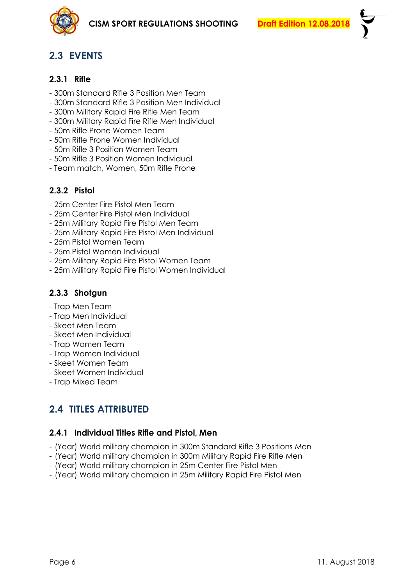

# <span id="page-5-0"></span>**2.3 EVENTS**

#### <span id="page-5-1"></span>**2.3.1 Rifle**

- 300m Standard Rifle 3 Position Men Team
- 300m Standard Rifle 3 Position Men Individual
- 300m Military Rapid Fire Rifle Men Team
- 300m Military Rapid Fire Rifle Men Individual
- 50m Rifle Prone Women Team
- 50m Rifle Prone Women Individual
- 50m Rifle 3 Position Women Team
- 50m Rifle 3 Position Women Individual
- <span id="page-5-2"></span>- Team match, Women, 50m Rifle Prone

### **2.3.2 Pistol**

- 25m Center Fire Pistol Men Team
- 25m Center Fire Pistol Men Individual
- 25m Military Rapid Fire Pistol Men Team
- 25m Military Rapid Fire Pistol Men Individual
- 25m Pistol Women Team
- 25m Pistol Women Individual
- 25m Military Rapid Fire Pistol Women Team
- <span id="page-5-3"></span>- 25m Military Rapid Fire Pistol Women Individual

### **2.3.3 Shotgun**

- Trap Men Team
- Trap Men Individual
- Skeet Men Team
- Skeet Men Individual
- Trap Women Team
- Trap Women Individual
- Skeet Women Team
- Skeet Women Individual
- <span id="page-5-4"></span>- Trap Mixed Team

# **2.4 TITLES ATTRIBUTED**

### <span id="page-5-5"></span>**2.4.1 Individual Titles Rifle and Pistol, Men**

- (Year) World military champion in 300m Standard Rifle 3 Positions Men
- (Year) World military champion in 300m Military Rapid Fire Rifle Men
- (Year) World military champion in 25m Center Fire Pistol Men
- (Year) World military champion in 25m Military Rapid Fire Pistol Men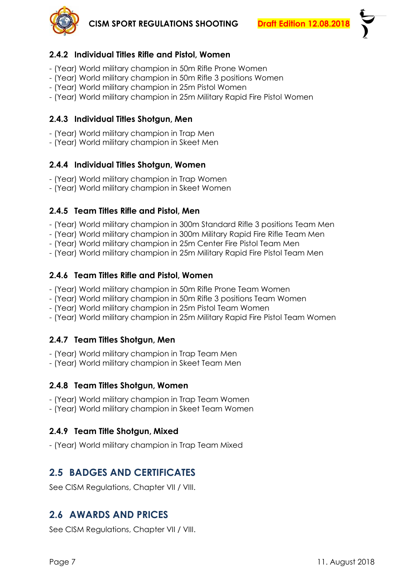

### <span id="page-6-0"></span>**2.4.2 Individual Titles Rifle and Pistol, Women**

- (Year) World military champion in 50m Rifle Prone Women
- (Year) World military champion in 50m Rifle 3 positions Women
- (Year) World military champion in 25m Pistol Women
- <span id="page-6-1"></span>- (Year) World military champion in 25m Military Rapid Fire Pistol Women

#### **2.4.3 Individual Titles Shotgun, Men**

- (Year) World military champion in Trap Men
- <span id="page-6-2"></span>- (Year) World military champion in Skeet Men

#### **2.4.4 Individual Titles Shotgun, Women**

- (Year) World military champion in Trap Women
- <span id="page-6-3"></span>- (Year) World military champion in Skeet Women

#### **2.4.5 Team Titles Rifle and Pistol, Men**

- (Year) World military champion in 300m Standard Rifle 3 positions Team Men
- (Year) World military champion in 300m Military Rapid Fire Rifle Team Men
- (Year) World military champion in 25m Center Fire Pistol Team Men
- <span id="page-6-4"></span>- (Year) World military champion in 25m Military Rapid Fire Pistol Team Men

#### **2.4.6 Team Titles Rifle and Pistol, Women**

- (Year) World military champion in 50m Rifle Prone Team Women
- (Year) World military champion in 50m Rifle 3 positions Team Women
- (Year) World military champion in 25m Pistol Team Women
- <span id="page-6-5"></span>- (Year) World military champion in 25m Military Rapid Fire Pistol Team Women

### **2.4.7 Team Titles Shotgun, Men**

- (Year) World military champion in Trap Team Men
- <span id="page-6-6"></span>- (Year) World military champion in Skeet Team Men

#### **2.4.8 Team Titles Shotgun, Women**

- (Year) World military champion in Trap Team Women
- <span id="page-6-7"></span>- (Year) World military champion in Skeet Team Women

#### **2.4.9 Team Title Shotgun, Mixed**

<span id="page-6-8"></span>- (Year) World military champion in Trap Team Mixed

# **2.5 BADGES AND CERTIFICATES**

<span id="page-6-9"></span>See CISM Regulations, Chapter VII / VIII.

### **2.6 AWARDS AND PRICES**

See CISM Regulations, Chapter VII / VIII.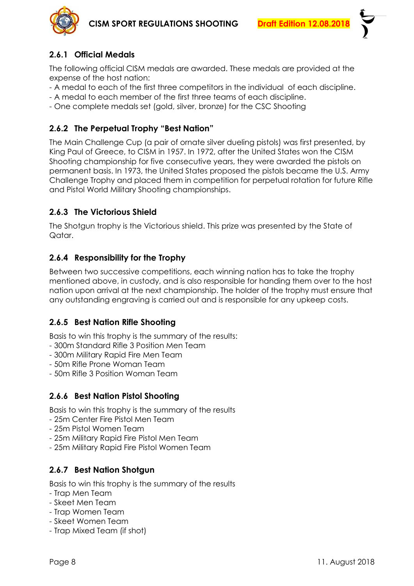

### <span id="page-7-0"></span>**2.6.1 Official Medals**

The following official CISM medals are awarded. These medals are provided at the expense of the host nation:

- A medal to each of the first three competitors in the individual of each discipline.
- A medal to each member of the first three teams of each discipline.
- <span id="page-7-1"></span>- One complete medals set (gold, silver, bronze) for the CSC Shooting

### **2.6.2 The Perpetual Trophy "Best Nation"**

The Main Challenge Cup (a pair of ornate silver dueling pistols) was first presented, by King Paul of Greece, to CISM in 1957. In 1972, after the United States won the CISM Shooting championship for five consecutive years, they were awarded the pistols on permanent basis. In 1973, the United States proposed the pistols became the U.S. Army Challenge Trophy and placed them in competition for perpetual rotation for future Rifle and Pistol World Military Shooting championships.

### <span id="page-7-2"></span>**2.6.3 The Victorious Shield**

The Shotgun trophy is the Victorious shield. This prize was presented by the State of Qatar.

### <span id="page-7-3"></span>**2.6.4 Responsibility for the Trophy**

Between two successive competitions, each winning nation has to take the trophy mentioned above, in custody, and is also responsible for handing them over to the host nation upon arrival at the next championship. The holder of the trophy must ensure that any outstanding engraving is carried out and is responsible for any upkeep costs.

### <span id="page-7-4"></span>**2.6.5 Best Nation Rifle Shooting**

Basis to win this trophy is the summary of the results:

- 300m Standard Rifle 3 Position Men Team
- 300m Military Rapid Fire Men Team
- 50m Rifle Prone Woman Team
- <span id="page-7-5"></span>- 50m Rifle 3 Position Woman Team

### **2.6.6 Best Nation Pistol Shooting**

Basis to win this trophy is the summary of the results

- 25m Center Fire Pistol Men Team
- 25m Pistol Women Team
- 25m Military Rapid Fire Pistol Men Team
- <span id="page-7-6"></span>- 25m Military Rapid Fire Pistol Women Team

### **2.6.7 Best Nation Shotgun**

Basis to win this trophy is the summary of the results

- Trap Men Team
- Skeet Men Team
- Trap Women Team
- Skeet Women Team
- Trap Mixed Team (if shot)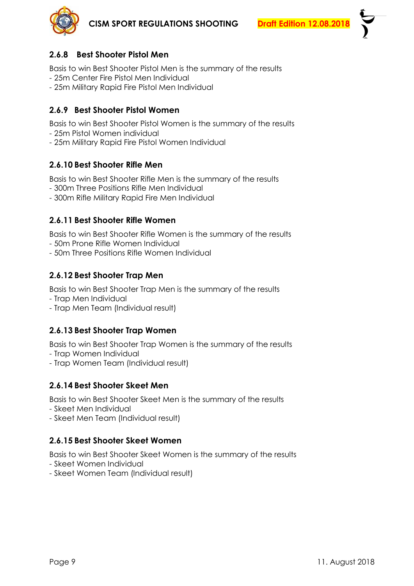

### <span id="page-8-0"></span>**2.6.8 Best Shooter Pistol Men**

Basis to win Best Shooter Pistol Men is the summary of the results

- 25m Center Fire Pistol Men Individual
- <span id="page-8-1"></span>- 25m Military Rapid Fire Pistol Men Individual

### **2.6.9 Best Shooter Pistol Women**

Basis to win Best Shooter Pistol Women is the summary of the results

- 25m Pistol Women individual
- <span id="page-8-2"></span>- 25m Military Rapid Fire Pistol Women Individual

#### **2.6.10 Best Shooter Rifle Men**

Basis to win Best Shooter Rifle Men is the summary of the results

- 300m Three Positions Rifle Men Individual
- <span id="page-8-3"></span>- 300m Rifle Military Rapid Fire Men Individual

### **2.6.11 Best Shooter Rifle Women**

Basis to win Best Shooter Rifle Women is the summary of the results

- 50m Prone Rifle Women Individual
- <span id="page-8-4"></span>- 50m Three Positions Rifle Women Individual

### **2.6.12 Best Shooter Trap Men**

Basis to win Best Shooter Trap Men is the summary of the results

- Trap Men Individual
- <span id="page-8-5"></span>- Trap Men Team (Individual result)

### **2.6.13 Best Shooter Trap Women**

Basis to win Best Shooter Trap Women is the summary of the results

- Trap Women Individual
- <span id="page-8-6"></span>- Trap Women Team (Individual result)

### **2.6.14 Best Shooter Skeet Men**

Basis to win Best Shooter Skeet Men is the summary of the results

- Skeet Men Individual
- <span id="page-8-7"></span>- Skeet Men Team (Individual result)

### **2.6.15 Best Shooter Skeet Women**

Basis to win Best Shooter Skeet Women is the summary of the results

- Skeet Women Individual
- Skeet Women Team (Individual result)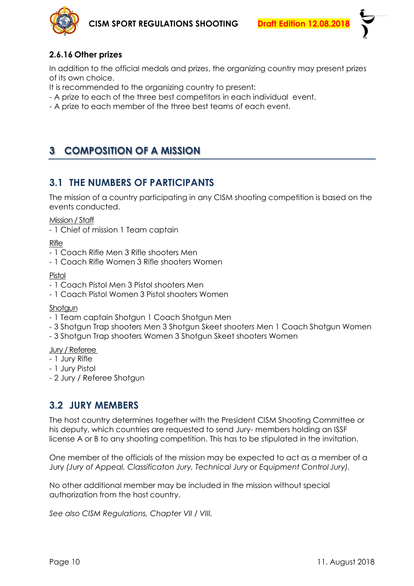

### <span id="page-9-0"></span>**2.6.16 Other prizes**

In addition to the official medals and prizes, the organizing country may present prizes of its own choice.

It is recommended to the organizing country to present:

- A prize to each of the three best competitors in each individual event.
- <span id="page-9-1"></span>- A prize to each member of the three best teams of each event.

# **3 COMPOSITION OF A MISSION**

# <span id="page-9-2"></span>**3.1 THE NUMBERS OF PARTICIPANTS**

The mission of a country participating in any CISM shooting competition is based on the events conducted.

#### Mission / Staff

- 1 Chief of mission 1 Team captain

Rifle

- 1 Coach Rifle Men 3 Rifle shooters Men
- 1 Coach Rifle Women 3 Rifle shooters Women

#### Pistol

- 1 Coach Pistol Men 3 Pistol shooters Men
- 1 Coach Pistol Women 3 Pistol shooters Women

#### Shotgun

- 1 Team captain Shotgun 1 Coach Shotgun Men
- 3 Shotgun Trap shooters Men 3 Shotgun Skeet shooters Men 1 Coach Shotgun Women
- 3 Shotgun Trap shooters Women 3 Shotgun Skeet shooters Women

#### Jury / Referee

- 1 Jury Rifle
- 1 Jury Pistol
- <span id="page-9-3"></span>- 2 Jury / Referee Shotgun

# **3.2 JURY MEMBERS**

The host country determines together with the President CISM Shooting Committee or his deputy, which countries are requested to send Jury- members holding an ISSF license A or B to any shooting competition. This has to be stipulated in the invitation.

One member of the officials of the mission may be expected to act as a member of a Jury *(Jury of Appeal, Classificaton Jury, Technical Jury or Equipment Control Jury).*

No other additional member may be included in the mission without special authorization from the host country.

*See also CISM Regulations, Chapter VII / VIII.*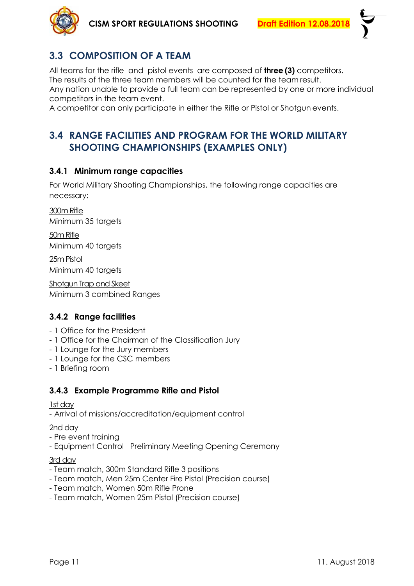

# <span id="page-10-0"></span>**3.3 COMPOSITION OF A TEAM**

All teams for the rifle and pistol events are composed of **three (3)** competitors. The results of the three team members will be counted for the team result. Any nation unable to provide a full team can be represented by one or more individual competitors in the team event.

<span id="page-10-1"></span>A competitor can only participate in either the Rifle or Pistol or Shotgun events.

# **3.4 RANGE FACILITIES AND PROGRAM FOR THE WORLD MILITARY SHOOTING CHAMPIONSHIPS (EXAMPLES ONLY)**

#### <span id="page-10-2"></span>**3.4.1 Minimum range capacities**

For World Military Shooting Championships, the following range capacities are necessary:

300m Rifle Minimum 35 targets 50m Rifle Minimum 40 targets 25m Pistol Minimum 40 targets Shotgun Trap and Skeet Minimum 3 combined Ranges

### <span id="page-10-3"></span>**3.4.2 Range facilities**

- 1 Office for the President
- 1 Office for the Chairman of the Classification Jury
- 1 Lounge for the Jury members
- 1 Lounge for the CSC members
- <span id="page-10-4"></span>- 1 Briefing room

### **3.4.3 Example Programme Rifle and Pistol**

#### 1st day

- Arrival of missions/accreditation/equipment control

#### 2nd day

- Pre event training
- Equipment Control Preliminary Meeting Opening Ceremony

#### 3rd day

- Team match, 300m Standard Rifle 3 positions
- Team match, Men 25m Center Fire Pistol (Precision course)
- Team match, Women 50m Rifle Prone
- Team match, Women 25m Pistol (Precision course)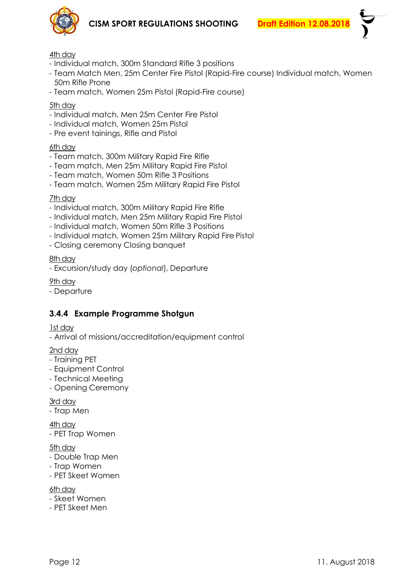

- Individual match, 300m Standard Rifle 3 positions
- Team Match Men, 25m Center Fire Pistol (Rapid-Fire course) Individual match, Women 50m Rifle Prone
- Team match, Women 25m Pistol (Rapid-Fire course)

#### 5th day

- Individual match, Men 25m Center Fire Pistol
- Individual match, Women 25m Pistol
- Pre event tainings, Rifle and Pistol

#### 6th day

- Team match, 300m Military Rapid Fire Rifle
- Team match, Men 25m Military Rapid Fire Pistol
- Team match, Women 50m Rifle 3 Positions
- Team match, Women 25m Military Rapid Fire Pistol

#### 7th day

- Individual match, 300m Military Rapid Fire Rifle
- Individual match, Men 25m Military Rapid Fire Pistol
- Individual match, Women 50m Rifle 3 Positions
- Individual match, Women 25m Military Rapid Fire Pistol
- Closing ceremony Closing banquet

#### 8th day

- Excursion/study day (*optional*), Departure

9th day

<span id="page-11-0"></span>- Departure

### **3.4.4 Example Programme Shotgun**

#### 1st day

- Arrival of missions/accreditation/equipment control

#### 2nd day

- Training PET
- Equipment Control
- Technical Meeting
- Opening Ceremony

#### 3rd day

- Trap Men

4th day - PET Trap Women

#### 5th day

- Double Trap Men
- Trap Women
- PET Skeet Women
- 6th day
- Skeet Women
- PET Skeet Men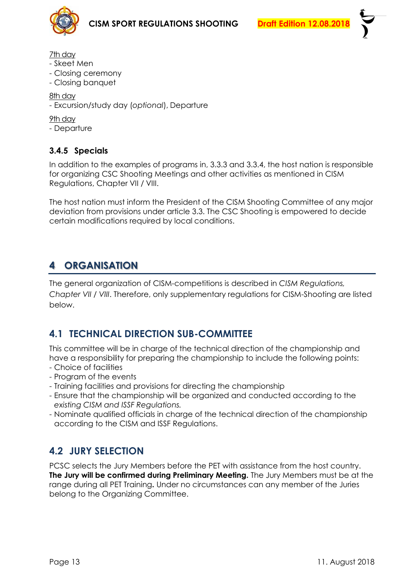



- Skeet Men
- Closing ceremony
- Closing banquet

8th day

- Excursion/study day (*optional*), Departure

9th day

<span id="page-12-0"></span>- Departure

### **3.4.5 Specials**

In addition to the examples of programs in, 3.3.3 and 3.3.4, the host nation is responsible for organizing CSC Shooting Meetings and other activities as mentioned in CISM Regulations, Chapter VII / VIII.

<span id="page-12-1"></span>The host nation must inform the President of the CISM Shooting Committee of any major deviation from provisions under article 3.3. The CSC Shooting is empowered to decide certain modifications required by local conditions.

# **4 ORGANISATION**

The general organization of CISM-competitions is described in *CISM Regulations, Chapter VII / VIII*. Therefore, only supplementary regulations for CISM-Shooting are listed below.

# <span id="page-12-2"></span>**4.1 TECHNICAL DIRECTION SUB-COMMITTEE**

This committee will be in charge of the technical direction of the championship and have a responsibility for preparing the championship to include the following points:

- Choice of facilities
- Program of the events
- Training facilities and provisions for directing the championship
- Ensure that the championship will be organized and conducted according to the *existing CISM and ISSF Regulations.*
- Nominate qualified officials in charge of the technical direction of the championship according to the CISM and ISSF Regulations.

# <span id="page-12-3"></span>**4.2 JURY SELECTION**

PCSC selects the Jury Members before the PET with assistance from the host country. **The Jury will be confirmed during Preliminary Meeting.** The Jury Members must be at the range during all PET Training**.** Under no circumstances can any member of the Juries belong to the Organizing Committee.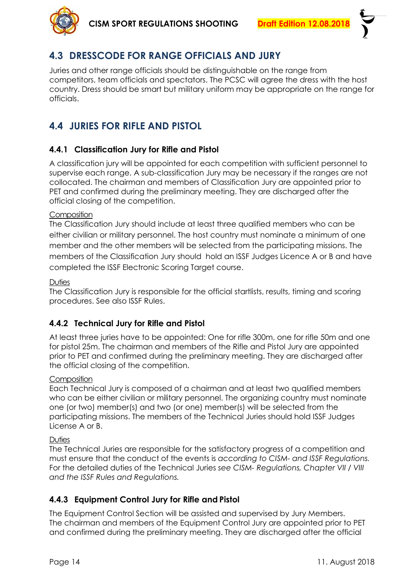

# <span id="page-13-0"></span>**4.3 DRESSCODE FOR RANGE OFFICIALS AND JURY**

Juries and other range officials should be distinguishable on the range from competitors, team officials and spectators. The PCSC will agree the dress with the host country. Dress should be smart but military uniform may be appropriate on the range for officials.

# <span id="page-13-1"></span>**4.4 JURIES FOR RIFLE AND PISTOL**

### <span id="page-13-2"></span>**4.4.1 Classification Jury for Rifle and Pistol**

A classification jury will be appointed for each competition with sufficient personnel to supervise each range. A sub-classification Jury may be necessary if the ranges are not collocated. The chairman and members of Classification Jury are appointed prior to PET and confirmed during the preliminary meeting. They are discharged after the official closing of the competition.

#### **Composition**

The Classification Jury should include at least three qualified members who can be either civilian or military personnel. The host country must nominate a minimum of one member and the other members will be selected from the participating missions. The members of the Classification Jury should hold an ISSF Judges Licence A or B and have completed the ISSF Electronic Scoring Target course.

#### Duties

The Classification Jury is responsible for the official startlists, results, timing and scoring procedures. See also ISSF Rules.

### <span id="page-13-3"></span>**4.4.2 Technical Jury for Rifle and Pistol**

At least three juries have to be appointed: One for rifle 300m, one for rifle 50m and one for pistol 25m. The chairman and members of the Rifle and Pistol Jury are appointed prior to PET and confirmed during the preliminary meeting. They are discharged after the official closing of the competition.

#### **Composition**

Each Technical Jury is composed of a chairman and at least two qualified members who can be either civilian or military personnel. The organizing country must nominate one (or two) member(s) and two (or one) member(s) will be selected from the participating missions. The members of the Technical Juries should hold ISSF Judges License A or B.

#### **Duties**

The Technical Juries are responsible for the satisfactory progress of a competition and must ensure that the conduct of the events is *according to CISM- and ISSF Regulations.*  For the detailed duties of the Technical Juries *see CISM- Regulations, Chapter VII / VIII and the ISSF Rules and Regulations.*

### <span id="page-13-4"></span>**4.4.3 Equipment Control Jury for Rifle and Pistol**

The Equipment Control Section will be assisted and supervised by Jury Members. The chairman and members of the Equipment Control Jury are appointed prior to PET and confirmed during the preliminary meeting. They are discharged after the official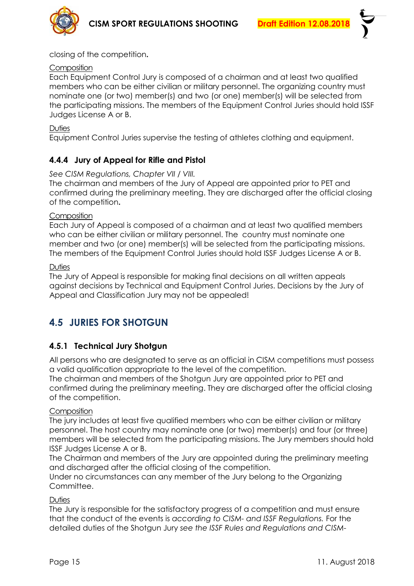

closing of the competition**.**

#### **Composition**

Each Equipment Control Jury is composed of a chairman and at least two qualified members who can be either civilian or military personnel. The organizing country must nominate one (or two) member(s) and two (or one) member(s) will be selected from the participating missions. The members of the Equipment Control Juries should hold ISSF Judges License A or B.

#### **Duties**

<span id="page-14-0"></span>Equipment Control Juries supervise the testing of athletes clothing and equipment.

### **4.4.4 Jury of Appeal for Rifle and Pistol**

#### *See CISM Regulations, Chapter VII / VIII.*

The chairman and members of the Jury of Appeal are appointed prior to PET and confirmed during the preliminary meeting. They are discharged after the official closing of the competition**.**

#### **Composition**

Each Jury of Appeal is composed of a chairman and at least two qualified members who can be either civilian or military personnel. The country must nominate one member and two (or one) member(s) will be selected from the participating missions. The members of the Equipment Control Juries should hold ISSF Judges License A or B.

#### Duties

The Jury of Appeal is responsible for making final decisions on all written appeals against decisions by Technical and Equipment Control Juries. Decisions by the Jury of Appeal and Classification Jury may not be appealed!

# <span id="page-14-1"></span>**4.5 JURIES FOR SHOTGUN**

### <span id="page-14-2"></span>**4.5.1 Technical Jury Shotgun**

All persons who are designated to serve as an official in CISM competitions must possess a valid qualification appropriate to the level of the competition.

The chairman and members of the Shotgun Jury are appointed prior to PET and confirmed during the preliminary meeting. They are discharged after the official closing of the competition.

#### **Composition**

The jury includes at least five qualified members who can be either civilian or military personnel. The host country may nominate one (or two) member(s) and four (or three) members will be selected from the participating missions. The Jury members should hold ISSF Judges License A or B.

The Chairman and members of the Jury are appointed during the preliminary meeting and discharged after the official closing of the competition.

Under no circumstances can any member of the Jury belong to the Organizing Committee.

#### **Duties**

The Jury is responsible for the satisfactory progress of a competition and must ensure that the conduct of the events is *according to CISM- and ISSF Regulations.* For the detailed duties of the Shotgun Jury *see the ISSF Rules and Regulations and CISM-*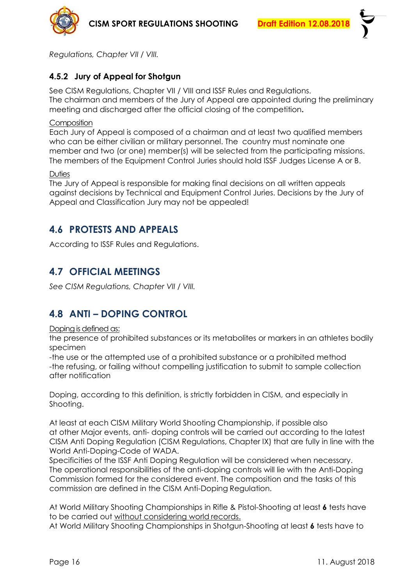



<span id="page-15-0"></span>*Regulations, Chapter VII / VIII.*

### **4.5.2 Jury of Appeal for Shotgun**

See CISM Regulations, Chapter VII / VIII and ISSF Rules and Regulations. The chairman and members of the Jury of Appeal are appointed during the preliminary meeting and discharged after the official closing of the competition**.**

#### **Composition**

Each Jury of Appeal is composed of a chairman and at least two qualified members who can be either civilian or military personnel. The country must nominate one member and two (or one) member(s) will be selected from the participating missions. The members of the Equipment Control Juries should hold ISSF Judges License A or B.

#### **Duties**

The Jury of Appeal is responsible for making final decisions on all written appeals against decisions by Technical and Equipment Control Juries. Decisions by the Jury of Appeal and Classification Jury may not be appealed!

# <span id="page-15-1"></span>**4.6 PROTESTS AND APPEALS**

<span id="page-15-2"></span>According to ISSF Rules and Regulations.

# **4.7 OFFICIAL MEETINGS**

<span id="page-15-3"></span>*See CISM Regulations, Chapter VII / VIII.*

# **4.8 ANTI – DOPING CONTROL**

#### Doping is defined as:

the presence of prohibited substances or its metabolites or markers in an athletes bodily specimen

-the use or the attempted use of a prohibited substance or a prohibited method -the refusing, or failing without compelling justification to submit to sample collection after notification

Doping, according to this definition, is strictly forbidden in CISM, and especially in Shooting.

At least at each CISM Military World Shooting Championship, if possible also at other Major events, anti- doping controls will be carried out according to the latest CISM Anti Doping Regulation (CISM Regulations, Chapter IX) that are fully in line with the World Anti-Doping-Code of WADA.

Specificities of the ISSF Anti Doping Regulation will be considered when necessary. The operational responsibilities of the anti-doping controls will lie with the Anti-Doping Commission formed for the considered event. The composition and the tasks of this commission are defined in the CISM Anti-Doping Regulation.

At World Military Shooting Championships in Rifle & Pistol-Shooting at least **6** tests have to be carried out without considering world records.

At World Military Shooting Championships in Shotgun-Shooting at least **6** tests have to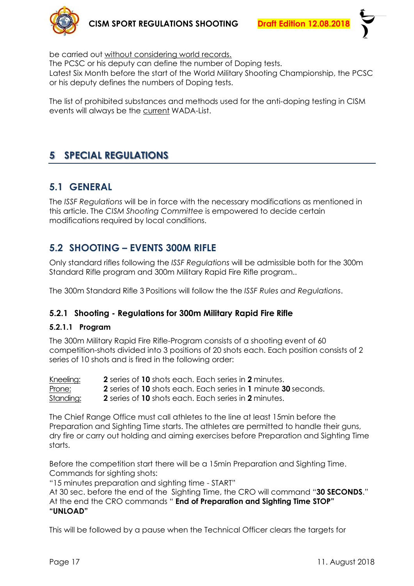

be carried out without considering world records.

The PCSC or his deputy can define the number of Doping tests. Latest Six Month before the start of the World Military Shooting Championship, the PCSC or his deputy defines the numbers of Doping tests.

<span id="page-16-0"></span>The list of prohibited substances and methods used for the anti-doping testing in CISM events will always be the current WADA-List.

# **5 SPECIAL REGULATIONS**

# <span id="page-16-1"></span>**5.1 GENERAL**

The *ISSF Regulations* will be in force with the necessary modifications as mentioned in this article. The *CISM Shooting Committee* is empowered to decide certain modifications required by local conditions.

# <span id="page-16-2"></span>**5.2 SHOOTING – EVENTS 300M RIFLE**

Only standard rifles following the *ISSF Regulations* will be admissible both for the 300m Standard Rifle program and 300m Military Rapid Fire Rifle program..

<span id="page-16-3"></span>The 300m Standard Rifle 3 Positions will follow the the *ISSF Rules and Regulations*.

### **5.2.1 Shooting - Regulations for 300m Military Rapid Fire Rifle**

### **5.2.1.1 Program**

The 300m Military Rapid Fire Rifle-Program consists of a shooting event of 60 competition-shots divided into 3 positions of 20 shots each. Each position consists of 2 series of 10 shots and is fired in the following order:

| <u>Kneeling:</u> | <b>2</b> series of 10 shots each. Each series in 2 minutes.               |
|------------------|---------------------------------------------------------------------------|
| Prone:           | <b>2</b> series of 10 shots each. Each series in 1 minute 30 seconds.     |
| Standing:        | <b>2</b> series of <b>10</b> shots each. Each series in <b>2</b> minutes. |

The Chief Range Office must call athletes to the line at least 15min before the Preparation and Sighting Time starts. The athletes are permitted to handle their guns, dry fire or carry out holding and aiming exercises before Preparation and Sighting Time starts.

Before the competition start there will be a 15min Preparation and Sighting Time. Commands for sighting shots:

"15 minutes preparation and sighting time - START"

At 30 sec. before the end of the Sighting Time, the CRO will command "**30 SECONDS**." At the end the CRO commands " **End of Preparation and Sighting Time STOP" "UNLOAD"**

This will be followed by a pause when the Technical Officer clears the targets for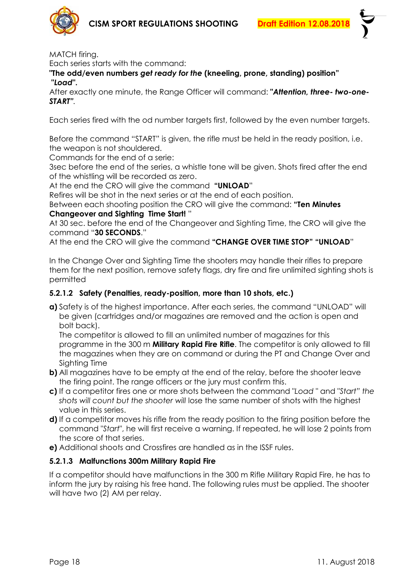

MATCH firing.

Each series starts with the command:

**"The odd/even numbers** *get ready for the* **(kneeling, prone, standing) position" "***Load***".**

After exactly one minute, the Range Officer will command: **"***Attention, three- two-one-START".*

Each series fired with the od number targets first, followed by the even number targets.

Before the command "START" is given, the rifle must be held in the ready position, i.e. the weapon is not shouldered.

Commands for the end of a serie:

3sec before the end of the series, a whistle tone will be given. Shots fired after the end of the whistling will be recorded as zero.

At the end the CRO will give the command **"UNLOAD**"

Refires will be shot in the next series or at the end of each position.

Between each shooting position the CRO will give the command: **"Ten Minutes** 

#### **Changeover and Sighting Time Start!** "

At 30 sec. before the end of the Changeover and Sighting Time, the CRO will give the command "**30 SECONDS**."

At the end the CRO will give the command **"CHANGE OVER TIME STOP" "UNLOAD**"

In the Change Over and Sighting Time the shooters may handle their rifles to prepare them for the next position, remove safety flags, dry fire and fire unlimited sighting shots is permitted

#### **5.2.1.2 Safety (Penalties, ready-position, more than 10 shots, etc.)**

**a)** Safety is of the highest importance. After each series, the command "UNLOAD" will be given (cartridges and/or magazines are removed and the action is open and bolt back).

The competitor is allowed to fill an unlimited number of magazines for this programme in the 300 m **Military Rapid Fire Rifle**. The competitor is only allowed to fill the magazines when they are on command or during the PT and Change Over and Sighting Time

- **b)** All magazines have to be empty at the end of the relay, before the shooter leave the firing point. The range officers or the jury must confirm this.
- **c)** If a competitor fires one or more shots between the command "*Load* " and "*Start" the shots will count but the shooter will* lose the same number of shots with the highest value in this series.
- **d)** If a competitor moves his rifle from the ready position to the firing position before the command "*Start*", he will first receive a warning. If repeated, he will lose 2 points from the score of that series.
- **e)** Additional shoots and Crossfires are handled as in the ISSF rules.

#### **5.2.1.3 Malfunctions 300m Military Rapid Fire**

If a competitor should have malfunctions in the 300 m Rifle Military Rapid Fire, he has to inform the jury by raising his free hand. The following rules must be applied. The shooter will have two (2) AM per relay.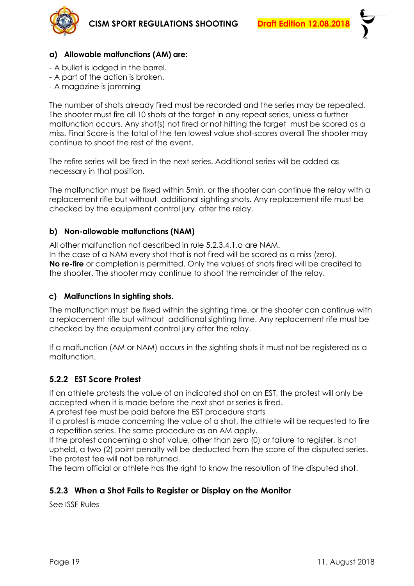

#### **a) Allowable malfunctions (AM) are:**

- A bullet is lodged in the barrel.
- A part of the action is broken.
- A magazine is jamming

The number of shots already fired must be recorded and the series may be repeated. The shooter must fire all 10 shots at the target in any repeat series, unless a further malfunction occurs. Any shot(s) not fired or not hitting the target must be scored as a miss. Final Score is the total of the ten lowest value shot-scores overall The shooter may continue to shoot the rest of the event.

The refire series will be fired in the next series. Additional series will be added as necessary in that position.

The malfunction must be fixed within 5min. or the shooter can continue the relay with a replacement rifle but without additional sighting shots. Any replacement rife must be checked by the equipment control jury after the relay.

#### **b) Non-allowable malfunctions (NAM)**

All other malfunction not described in rule 5.2.3.4.1.a are NAM.

In the case of a NAM every shot that is not fired will be scored as a miss (zero). **No re-fire** or completion is permitted. Only the values of shots fired will be credited to the shooter. The shooter may continue to shoot the remainder of the relay.

#### **c) Malfunctions In sighting shots.**

The malfunction must be fixed within the sighting time. or the shooter can continue with a replacement rifle but without additional sighting time. Any replacement rife must be checked by the equipment control jury after the relay.

If a malfunction (AM or NAM) occurs in the sighting shots it must not be registered as a malfunction.

### <span id="page-18-0"></span>**5.2.2 EST Score Protest**

If an athlete protests the value of an indicated shot on an EST, the protest will only be accepted when it is made before the next shot or series is fired.

A protest fee must be paid before the EST procedure starts

If a protest is made concerning the value of a shot, the athlete will be requested to fire a repetition series. The same procedure as an AM apply.

If the protest concerning a shot value, other than zero (0) or failure to register, is not upheld, a two (2) point penalty will be deducted from the score of the disputed series. The protest fee will not be returned.

<span id="page-18-1"></span>The team official or athlete has the right to know the resolution of the disputed shot.

### **5.2.3 When a Shot Fails to Register or Display on the Monitor**

See ISSF Rules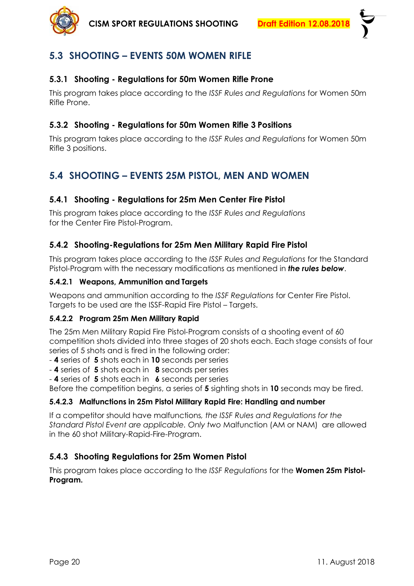

# <span id="page-19-0"></span>**5.3 SHOOTING – EVENTS 50M WOMEN RIFLE**

#### <span id="page-19-1"></span>**5.3.1 Shooting - Regulations for 50m Women Rifle Prone**

This program takes place according to the *ISSF Rules and Regulations* for Women 50m Rifle Prone.

### <span id="page-19-2"></span>**5.3.2 Shooting - Regulations for 50m Women Rifle 3 Positions**

This program takes place according to the *ISSF Rules and Regulations* for Women 50m Rifle 3 positions.

# <span id="page-19-3"></span>**5.4 SHOOTING – EVENTS 25M PISTOL, MEN AND WOMEN**

#### <span id="page-19-4"></span>**5.4.1 Shooting - Regulations for 25m Men Center Fire Pistol**

This program takes place according to the *ISSF Rules and Regulations* for the Center Fire Pistol-Program.

#### <span id="page-19-5"></span>**5.4.2 Shooting-Regulations for 25m Men Military Rapid Fire Pistol**

This program takes place according to the *ISSF Rules and Regulations* for the Standard Pistol-Program with the necessary modifications as mentioned in *the rules below*.

#### **5.4.2.1 Weapons, Ammunition and Targets**

Weapons and ammunition according to the *ISSF Regulations* for Center Fire Pistol. Targets to be used are the ISSF-Rapid Fire Pistol – Targets.

#### **5.4.2.2 Program 25m Men Military Rapid**

The 25m Men Military Rapid Fire Pistol-Program consists of a shooting event of 60 competition shots divided into three stages of 20 shots each. Each stage consists of four series of 5 shots and is fired in the following order:

- **4** series of **5** shots each in **10** seconds per series

- **4** series of **5** shots each in **8** seconds per series

- **4** series of **5** shots each in **6** seconds per series

Before the competition begins, a series of **5** sighting shots in **10** seconds may be fired.

#### **5.4.2.3 Malfunctions in 25m Pistol Military Rapid Fire: Handling and number**

If a competitor should have malfunctions*, the ISSF Rules and Regulations for the Standard Pistol Event are applicable. Only two* Malfunction (AM or NAM) are allowed in the 60 shot Military-Rapid-Fire-Program.

### <span id="page-19-6"></span>**5.4.3 Shooting Regulations for 25m Women Pistol**

This program takes place according to the *ISSF Regulations* for the **Women 25m Pistol-Program.**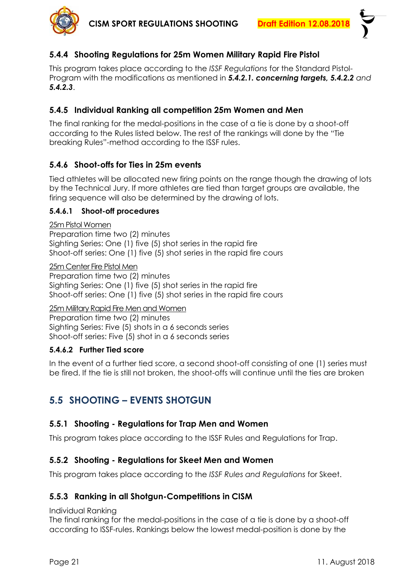

# <span id="page-20-0"></span>**5.4.4 Shooting Regulations for 25m Women Military Rapid Fire Pistol**

This program takes place according to the *ISSF Regulations* for the Standard Pistol-Program with the modifications as mentioned in *5.4.2.1. concerning targets, 5.4.2.2 and 5.4.2.3*.

### <span id="page-20-1"></span>**5.4.5 Individual Ranking all competition 25m Women and Men**

The final ranking for the medal-positions in the case of a tie is done by a shoot-off according to the Rules listed below. The rest of the rankings will done by the "Tie breaking Rules"-method according to the ISSF rules.

### <span id="page-20-2"></span>**5.4.6 Shoot-offs for Ties in 25m events**

Tied athletes will be allocated new firing points on the range though the drawing of lots by the Technical Jury. If more athletes are tied than target groups are available, the firing sequence will also be determined by the drawing of lots.

### **5.4.6.1 Shoot-off procedures**

25m Pistol Women

Preparation time two (2) minutes Sighting Series: One (1) five (5) shot series in the rapid fire Shoot-off series: One (1) five (5) shot series in the rapid fire cours

25m Center Fire Pistol Men

Preparation time two (2) minutes Sighting Series: One (1) five (5) shot series in the rapid fire Shoot-off series: One (1) five (5) shot series in the rapid fire cours

25m Military Rapid Fire Men and Women

Preparation time two (2) minutes Sighting Series: Five (5) shots in a 6 seconds series Shoot-off series: Five (5) shot in a 6 seconds series

### **5.4.6.2 Further Tied score**

In the event of a further tied score, a second shoot-off consisting of one (1) series must be fired. If the tie is still not broken, the shoot-offs will continue until the ties are broken

# <span id="page-20-3"></span>**5.5 SHOOTING – EVENTS SHOTGUN**

### <span id="page-20-4"></span>**5.5.1 Shooting - Regulations for Trap Men and Women**

<span id="page-20-5"></span>This program takes place according to the ISSF Rules and Regulations for Trap.

### **5.5.2 Shooting - Regulations for Skeet Men and Women**

<span id="page-20-6"></span>This program takes place according to the *ISSF Rules and Regulations* for Skeet.

### **5.5.3 Ranking in all Shotgun-Competitions in CISM**

#### Individual Ranking

The final ranking for the medal-positions in the case of a tie is done by a shoot-off according to ISSF-rules. Rankings below the lowest medal-position is done by the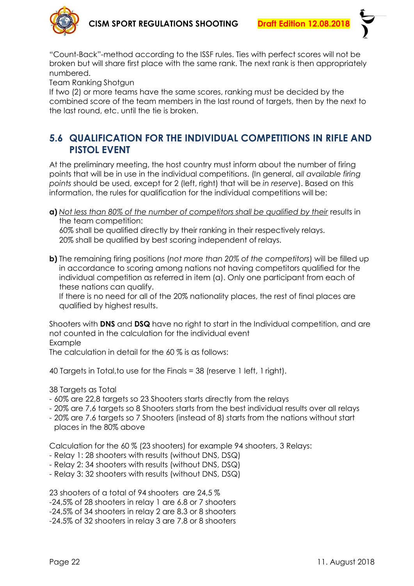

"Count-Back"-method according to the ISSF rules. Ties with perfect scores will not be broken but will share first place with the same rank. The next rank is then appropriately numbered.

Team Ranking Shotgun

If two (2) or more teams have the same scores, ranking must be decided by the combined score of the team members in the last round of targets, then by the next to the last round, etc. until the tie is broken.

# <span id="page-21-0"></span>**5.6 QUALIFICATION FOR THE INDIVIDUAL COMPETITIONS IN RIFLE AND PISTOL EVENT**

At the preliminary meeting, the host country must inform about the number of firing points that will be in use in the individual competitions. (In general, a*ll available firing points* should be used, except for 2 (left, right) that will be *in reserve*). Based on this information, the rules for qualification for the individual competitions will be:

**a)** *Not less than 80% of the number of competitors shall be qualified by their* results in the team competition:

60% shall be qualified directly by their ranking in their respectively relays. 20% shall be qualified by best scoring independent of relays.

**b)** The remaining firing positions (*not more than 20% of the competitors*) will be filled up in accordance to scoring among nations not having competitors qualified for the individual competition as referred in item (a). Only one participant from each of these nations can qualify.

If there is no need for all of the 20% nationality places, the rest of final places are qualified by highest results.

Shooters with **DNS** and **DSQ** have no right to start in the Individual competition, and are not counted in the calculation for the individual event Example

The calculation in detail for the 60 % is as follows:

40 Targets in Total,to use for the Finals = 38 (reserve 1 left, 1 right).

38 Targets as Total

- 60% are 22,8 targets so 23 Shooters starts directly from the relays
- 20% are 7,6 targets so 8 Shooters starts from the best individual results over all relays
- 20% are 7.6 targets so 7 Shooters (instead of 8) starts from the nations without start places in the 80% above

Calculation for the 60 % (23 shooters) for example 94 shooters, 3 Relays:

- Relay 1: 28 shooters with results (without DNS, DSQ)
- Relay 2: 34 shooters with results (without DNS, DSQ)
- Relay 3: 32 shooters with results (without DNS, DSQ)

23 shooters of a total of 94 shooters are 24,5 % -24,5% of 28 shooters in relay 1 are 6.8 or 7 shooters -24,5% of 34 shooters in relay 2 are 8.3 or 8 shooters -24.5% of 32 shooters in relay 3 are 7.8 or 8 shooters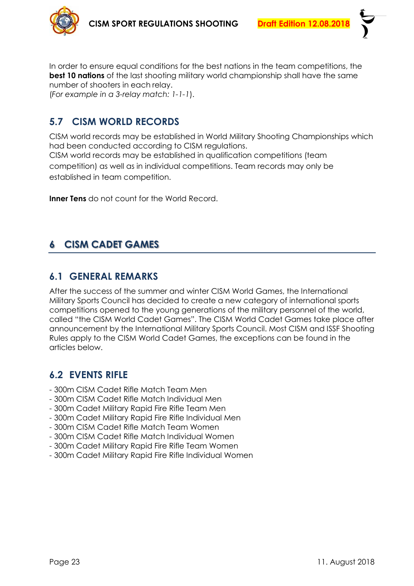

In order to ensure equal conditions for the best nations in the team competitions, the **best 10 nations** of the last shooting military world championship shall have the same number of shooters in each relay.

<span id="page-22-0"></span>(*For example in a 3-relay match: 1-1-1*).

# **5.7 CISM WORLD RECORDS**

CISM world records may be established in World Military Shooting Championships which had been conducted according to CISM regulations. CISM world records may be established in qualification competitions (team competition) as well as in individual competitions. Team records may only be established in team competition.

<span id="page-22-1"></span>**Inner Tens** do not count for the World Record.

# **6 CISM CADET GAMES**

# <span id="page-22-2"></span>**6.1 GENERAL REMARKS**

After the success of the summer and winter CISM World Games, the International Military Sports Council has decided to create a new category of international sports competitions opened to the young generations of the military personnel of the world, called "the CISM World Cadet Games". The CISM World Cadet Games take place after announcement by the International Military Sports Council. Most CISM and ISSF Shooting Rules apply to the CISM World Cadet Games, the exceptions can be found in the articles below.

# <span id="page-22-3"></span>**6.2 EVENTS RIFLE**

- 300m CISM Cadet Rifle Match Team Men
- 300m CISM Cadet Rifle Match Individual Men
- 300m Cadet Military Rapid Fire Rifle Team Men
- 300m Cadet Military Rapid Fire Rifle Individual Men
- 300m CISM Cadet Rifle Match Team Women
- 300m CISM Cadet Rifle Match Individual Women
- 300m Cadet Military Rapid Fire Rifle Team Women
- 300m Cadet Military Rapid Fire Rifle Individual Women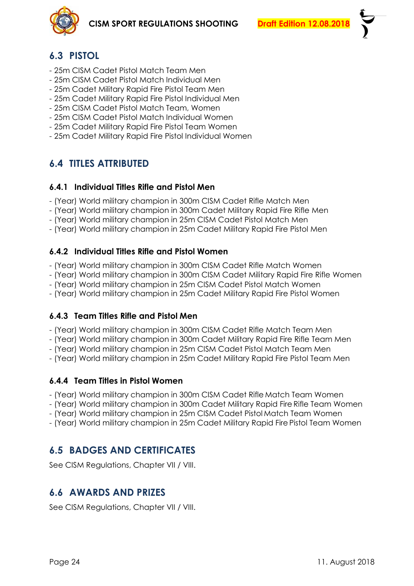

# <span id="page-23-0"></span>**6.3 PISTOL**

- 25m CISM Cadet Pistol Match Team Men
- 25m CISM Cadet Pistol Match Individual Men
- 25m Cadet Military Rapid Fire Pistol Team Men
- 25m Cadet Military Rapid Fire Pistol Individual Men
- 25m CISM Cadet Pistol Match Team, Women
- 25m CISM Cadet Pistol Match Individual Women
- 25m Cadet Military Rapid Fire Pistol Team Women
- <span id="page-23-1"></span>- 25m Cadet Military Rapid Fire Pistol Individual Women

# **6.4 TITLES ATTRIBUTED**

#### <span id="page-23-2"></span>**6.4.1 Individual Titles Rifle and Pistol Men**

- (Year) World military champion in 300m CISM Cadet Rifle Match Men
- (Year) World military champion in 300m Cadet Military Rapid Fire Rifle Men
- (Year) World military champion in 25m CISM Cadet Pistol Match Men
- <span id="page-23-3"></span>- (Year) World military champion in 25m Cadet Military Rapid Fire Pistol Men

### **6.4.2 Individual Titles Rifle and Pistol Women**

- (Year) World military champion in 300m CISM Cadet Rifle Match Women
- (Year) World military champion in 300m CISM Cadet Military Rapid Fire Rifle Women
- (Year) World military champion in 25m CISM Cadet Pistol Match Women
- <span id="page-23-4"></span>- (Year) World military champion in 25m Cadet Military Rapid Fire Pistol Women

### **6.4.3 Team Titles Rifle and Pistol Men**

- (Year) World military champion in 300m CISM Cadet Rifle Match Team Men
- (Year) World military champion in 300m Cadet Military Rapid Fire Rifle Team Men
- (Year) World military champion in 25m CISM Cadet Pistol Match Team Men
- <span id="page-23-5"></span>- (Year) World military champion in 25m Cadet Military Rapid Fire Pistol Team Men

### **6.4.4 Team Titles in Pistol Women**

- (Year) World military champion in 300m CISM Cadet Rifle Match Team Women
- (Year) World military champion in 300m Cadet Military Rapid Fire Rifle Team Women
- (Year) World military champion in 25m CISM Cadet Pistol Match Team Women
- <span id="page-23-6"></span>- (Year) World military champion in 25m Cadet Military Rapid Fire Pistol Team Women

# **6.5 BADGES AND CERTIFICATES**

<span id="page-23-7"></span>See CISM Regulations, Chapter VII / VIII.

# **6.6 AWARDS AND PRIZES**

See CISM Regulations, Chapter VII / VIII.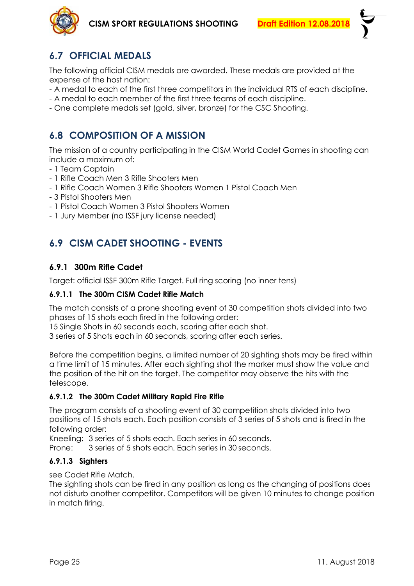

# <span id="page-24-0"></span>**6.7 OFFICIAL MEDALS**

The following official CISM medals are awarded. These medals are provided at the expense of the host nation:

- A medal to each of the first three competitors in the individual RTS of each discipline.
- A medal to each member of the first three teams of each discipline.
- <span id="page-24-1"></span>- One complete medals set (gold, silver, bronze) for the CSC Shooting.

# **6.8 COMPOSITION OF A MISSION**

The mission of a country participating in the CISM World Cadet Games in shooting can include a maximum of:

- 1 Team Captain
- 1 Rifle Coach Men 3 Rifle Shooters Men
- 1 Rifle Coach Women 3 Rifle Shooters Women 1 Pistol Coach Men
- 3 Pistol Shooters Men
- 1 Pistol Coach Women 3 Pistol Shooters Women
- <span id="page-24-2"></span>- 1 Jury Member (no ISSF jury license needed)

# **6.9 CISM CADET SHOOTING - EVENTS**

### <span id="page-24-3"></span>**6.9.1 300m Rifle Cadet**

Target: official ISSF 300m Rifle Target. Full ring scoring (no inner tens)

#### **6.9.1.1 The 300m CISM Cadet Rifle Match**

The match consists of a prone shooting event of 30 competition shots divided into two phases of 15 shots each fired in the following order:

15 Single Shots in 60 seconds each, scoring after each shot.

3 series of 5 Shots each in 60 seconds, scoring after each series.

Before the competition begins, a limited number of 20 sighting shots may be fired within a time limit of 15 minutes. After each sighting shot the marker must show the value and the position of the hit on the target. The competitor may observe the hits with the telescope.

#### **6.9.1.2 The 300m Cadet Military Rapid Fire Rifle**

The program consists of a shooting event of 30 competition shots divided into two positions of 15 shots each. Each position consists of 3 series of 5 shots and is fired in the following order:

Kneeling: 3 series of 5 shots each. Each series in 60 seconds.

Prone: 3 series of 5 shots each. Each series in 30 seconds.

#### **6.9.1.3 Sighters**

see Cadet Rifle Match.

The sighting shots can be fired in any position as long as the changing of positions does not disturb another competitor. Competitors will be given 10 minutes to change position in match firing.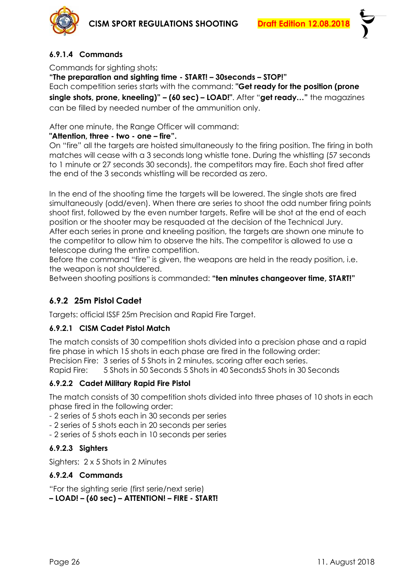

### **6.9.1.4 Commands**

Commands for sighting shots:

#### **"The preparation and sighting time - START! – 30seconds – STOP!"**

Each competition series starts with the command: **"Get ready for the position (prone single shots, prone, kneeling)" – (60 sec) – LOAD!"**. After "**get ready…"** the magazines can be filled by needed number of the ammunition only.

After one minute, the Range Officer will command:

#### **"Attention, three - two - one – fire".**

On "fire" all the targets are hoisted simultaneously to the firing position. The firing in both matches will cease with a 3 seconds long whistle tone. During the whistling (57 seconds to 1 minute or 27 seconds 30 seconds), the competitors may fire. Each shot fired after the end of the 3 seconds whistling will be recorded as zero.

In the end of the shooting time the targets will be lowered. The single shots are fired simultaneously (odd/even). When there are series to shoot the odd number firing points shoot first, followed by the even number targets. Refire will be shot at the end of each position or the shooter may be resquaded at the decision of the Technical Jury. After each series in prone and kneeling position, the targets are shown one minute to the competitor to allow him to observe the hits. The competitor is allowed to use a telescope during the entire competition.

Before the command "fire" is given, the weapons are held in the ready position, i.e. the weapon is not shouldered.

<span id="page-25-0"></span>Between shooting positions is commanded: **"ten minutes changeover time, START!"**

### **6.9.2 25m Pistol Cadet**

Targets: official ISSF 25m Precision and Rapid Fire Target.

#### **6.9.2.1 CISM Cadet Pistol Match**

The match consists of 30 competition shots divided into a precision phase and a rapid fire phase in which 15 shots in each phase are fired in the following order: Precision Fire: 3 series of 5 Shots in 2 minutes, scoring after each series. Rapid Fire: 5 Shots in 50 Seconds 5 Shots in 40 Seconds5 Shots in 30 Seconds

#### **6.9.2.2 Cadet Military Rapid Fire Pistol**

The match consists of 30 competition shots divided into three phases of 10 shots in each phase fired in the following order:

- 2 series of 5 shots each in 30 seconds per series

- 2 series of 5 shots each in 20 seconds per series

- 2 series of 5 shots each in 10 seconds per series

#### **6.9.2.3 Sighters**

Sighters: 2 x 5 Shots in 2 Minutes

#### **6.9.2.4 Commands**

"For the sighting serie (first serie/next serie) **– LOAD! – (60 sec) – ATTENTION! – FIRE - START!**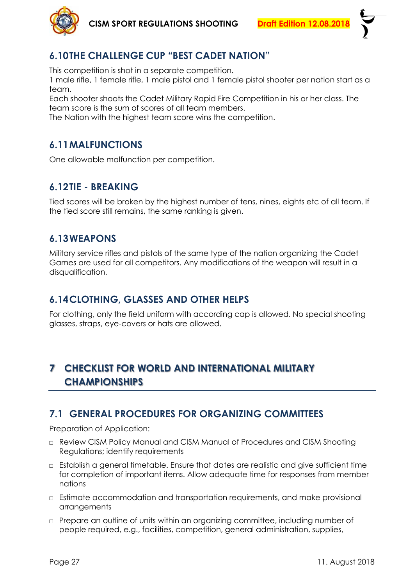



# <span id="page-26-0"></span>**6.10THE CHALLENGE CUP "BEST CADET NATION"**

This competition is shot in a separate competition.

1 male rifle, 1 female rifle, 1 male pistol and 1 female pistol shooter per nation start as a team.

Each shooter shoots the Cadet Military Rapid Fire Competition in his or her class. The team score is the sum of scores of all team members.

<span id="page-26-1"></span>The Nation with the highest team score wins the competition.

# **6.11MALFUNCTIONS**

<span id="page-26-2"></span>One allowable malfunction per competition.

# **6.12TIE - BREAKING**

Tied scores will be broken by the highest number of tens, nines, eights etc of all team. If the tied score still remains, the same ranking is given.

# <span id="page-26-3"></span>**6.13WEAPONS**

Military service rifles and pistols of the same type of the nation organizing the Cadet Games are used for all competitors. Any modifications of the weapon will result in a disqualification.

# <span id="page-26-4"></span>**6.14CLOTHING, GLASSES AND OTHER HELPS**

<span id="page-26-5"></span>For clothing, only the field uniform with according cap is allowed. No special shooting glasses, straps, eye-covers or hats are allowed.

# **7 CHECKLIST FOR WORLD AND INTERNATIONAL MILITARY CHAMPIONSHIPS**

# <span id="page-26-6"></span>**7.1 GENERAL PROCEDURES FOR ORGANIZING COMMITTEES**

Preparation of Application:

- □ Review CISM Policy Manual and CISM Manual of Procedures and CISM Shooting Regulations; identify requirements
- □ Establish a general timetable. Ensure that dates are realistic and give sufficient time for completion of important items. Allow adequate time for responses from member nations
- □ Estimate accommodation and transportation requirements, and make provisional arrangements
- □ Prepare an outline of units within an organizing committee, including number of people required, e.g., facilities, competition, general administration, supplies,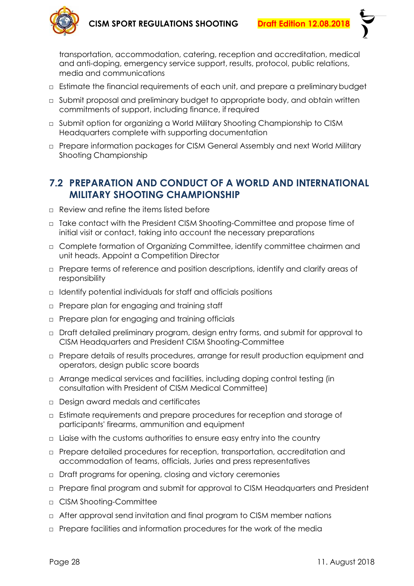

transportation, accommodation, catering, reception and accreditation, medical and anti-doping, emergency service support, results, protocol, public relations, media and communications

- □ Estimate the financial requirements of each unit, and prepare a preliminarybudget
- □ Submit proposal and preliminary budget to appropriate body, and obtain written commitments of support, including finance, if required
- □ Submit option for organizing a World Military Shooting Championship to CISM Headquarters complete with supporting documentation
- □ Prepare information packages for CISM General Assembly and next World Military Shooting Championship

# <span id="page-27-0"></span>**7.2 PREPARATION AND CONDUCT OF A WORLD AND INTERNATIONAL MILITARY SHOOTING CHAMPIONSHIP**

- □ Review and refine the items listed before
- □ Take contact with the President CISM Shooting-Committee and propose time of initial visit or contact, taking into account the necessary preparations
- □ Complete formation of Organizing Committee, identify committee chairmen and unit heads. Appoint a Competition Director
- □ Prepare terms of reference and position descriptions, identify and clarify areas of responsibility
- □ Identify potential individuals for staff and officials positions
- □ Prepare plan for engaging and training staff
- □ Prepare plan for engaging and training officials
- □ Draft detailed preliminary program, design entry forms, and submit for approval to CISM Headquarters and President CISM Shooting-Committee
- □ Prepare details of results procedures, arrange for result production equipment and operators, design public score boards
- □ Arrange medical services and facilities, including doping control testing (in consultation with President of CISM Medical Committee)
- □ Design award medals and certificates
- □ Estimate requirements and prepare procedures for reception and storage of participants' firearms, ammunition and equipment
- $\Box$  Liaise with the customs authorities to ensure easy entry into the country
- □ Prepare detailed procedures for reception, transportation, accreditation and accommodation of teams, officials, Juries and press representatives
- □ Draft programs for opening, closing and victory ceremonies
- □ Prepare final program and submit for approval to CISM Headquarters and President
- □ CISM Shooting-Committee
- □ After approval send invitation and final program to CISM member nations
- □ Prepare facilities and information procedures for the work of the media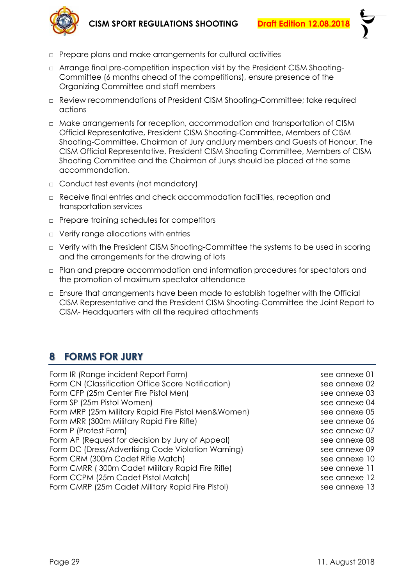

- □ Prepare plans and make arrangements for cultural activities
- □ Arrange final pre-competition inspection visit by the President CISM Shooting-Committee (6 months ahead of the competitions), ensure presence of the Organizing Committee and staff members
- □ Review recommendations of President CISM Shooting-Committee; take required actions
- □ Make arrangements for reception, accommodation and transportation of CISM Official Representative, President CISM Shooting-Committee, Members of CISM Shooting-Committee, Chairman of Jury andJury members and Guests of Honour. The CISM Official Representative, President CISM Shooting Committee, Members of CISM Shooting Committee and the Chairman of Jurys should be placed at the same accommondation.
- □ Conduct test events (not mandatory)
- □ Receive final entries and check accommodation facilities, reception and transportation services
- □ Prepare training schedules for competitors
- □ Verify range allocations with entries
- □ Verify with the President CISM Shooting-Committee the systems to be used in scoring and the arrangements for the drawing of lots
- □ Plan and prepare accommodation and information procedures for spectators and the promotion of maximum spectator attendance
- <span id="page-28-0"></span>□ Ensure that arrangements have been made to establish together with the Official CISM Representative and the President CISM Shooting-Committee the Joint Report to CISM- Headquarters with all the required attachments

# **8 FORMS FOR JURY**

| Form IR (Range incident Report Form)                | see annexe 01 |
|-----------------------------------------------------|---------------|
| Form CN (Classification Office Score Notification)  | see annexe 02 |
| Form CFP (25m Center Fire Pistol Men)               | see annexe 03 |
| Form SP (25m Pistol Women)                          | see annexe 04 |
| Form MRP (25m Military Rapid Fire Pistol Men&Women) | see annexe 05 |
| Form MRR (300m Military Rapid Fire Rifle)           | see annexe 06 |
| Form P (Protest Form)                               | see annexe 07 |
| Form AP (Request for decision by Jury of Appeal)    | see annexe 08 |
| Form DC (Dress/Advertising Code Violation Warning)  | see annexe 09 |
| Form CRM (300m Cadet Rifle Match)                   | see annexe 10 |
| Form CMRR (300m Cadet Military Rapid Fire Rifle)    | see annexe 11 |
| Form CCPM (25m Cadet Pistol Match)                  | see annexe 12 |
| Form CMRP (25m Cadet Military Rapid Fire Pistol)    | see annexe 13 |
|                                                     |               |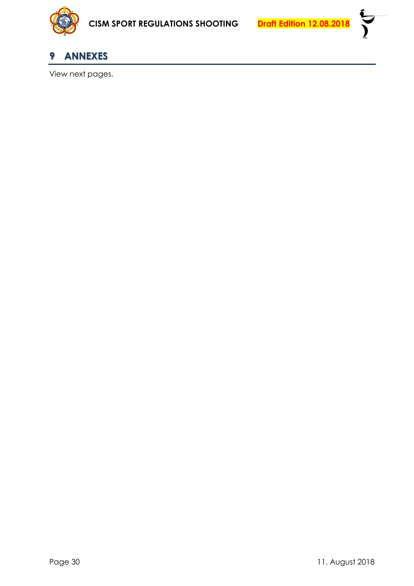

<span id="page-29-0"></span>

View next pages.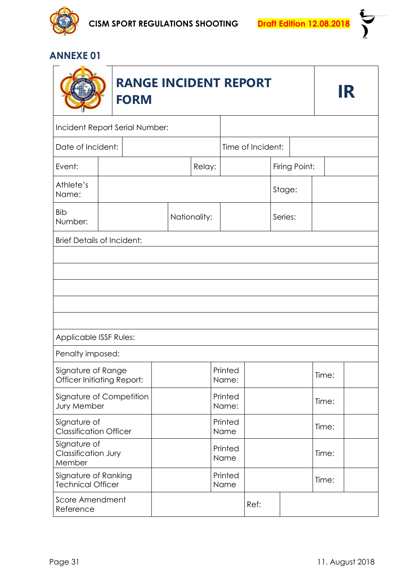

**تى**<br>)

|                                                  | IR                                |  |        |                 |              |                   |               |         |       |       |  |  |
|--------------------------------------------------|-----------------------------------|--|--------|-----------------|--------------|-------------------|---------------|---------|-------|-------|--|--|
| Incident Report Serial Number:                   |                                   |  |        |                 |              |                   |               |         |       |       |  |  |
| Date of Incident:                                |                                   |  |        |                 |              | Time of Incident: |               |         |       |       |  |  |
| Event:                                           |                                   |  | Relay: |                 |              |                   | Firing Point: |         |       |       |  |  |
| Athlete's<br>Name:                               |                                   |  |        |                 |              |                   |               | Stage:  |       |       |  |  |
| <b>Bib</b><br>Number:                            |                                   |  |        |                 | Nationality: |                   |               | Series: |       |       |  |  |
|                                                  | <b>Brief Details of Incident:</b> |  |        |                 |              |                   |               |         |       |       |  |  |
|                                                  |                                   |  |        |                 |              |                   |               |         |       |       |  |  |
|                                                  |                                   |  |        |                 |              |                   |               |         |       |       |  |  |
| Applicable ISSF Rules:                           |                                   |  |        |                 |              |                   |               |         |       |       |  |  |
| Penalty imposed:                                 |                                   |  |        |                 |              |                   |               |         |       |       |  |  |
| Signature of Range<br>Officer Initiating Report: |                                   |  |        |                 |              | Printed<br>Name:  |               |         |       | Time: |  |  |
| Signature of Competition<br>Jury Member          |                                   |  |        |                 |              | Printed<br>Name:  |               |         |       | Time: |  |  |
| Signature of<br><b>Classification Officer</b>    |                                   |  |        |                 |              | Printed<br>Name   |               |         |       | Time: |  |  |
| Signature of<br>Classification Jury<br>Member    |                                   |  |        | Printed<br>Name |              |                   |               |         |       | Time: |  |  |
| Signature of Ranking<br><b>Technical Officer</b> |                                   |  |        |                 |              | Printed<br>Name   |               |         | Time: |       |  |  |
| Score Amendment<br>Reference                     |                                   |  |        |                 |              |                   | Ref:          |         |       |       |  |  |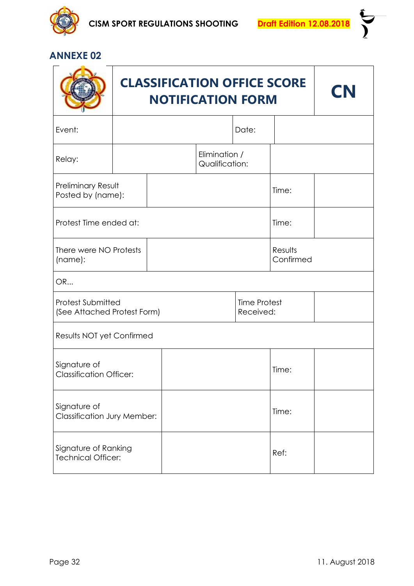

 $\sum_{i=1}^{n}$ 

|                                                    | <b>CN</b> |                                  |       |                      |  |  |
|----------------------------------------------------|-----------|----------------------------------|-------|----------------------|--|--|
| Event:                                             |           |                                  | Date: |                      |  |  |
| Relay:                                             |           | Elimination /<br>Qualification:  |       |                      |  |  |
| Preliminary Result<br>Posted by (name):            |           |                                  |       | Time:                |  |  |
| Protest Time ended at:                             |           |                                  |       |                      |  |  |
| There were NO Protests<br>(name):                  |           |                                  |       | Results<br>Confirmed |  |  |
| OR                                                 |           |                                  |       |                      |  |  |
| Protest Submitted<br>(See Attached Protest Form)   |           | <b>Time Protest</b><br>Received: |       |                      |  |  |
| Results NOT yet Confirmed                          |           |                                  |       |                      |  |  |
| Signature of<br><b>Classification Officer:</b>     |           |                                  |       |                      |  |  |
| Signature of<br><b>Classification Jury Member:</b> |           |                                  |       |                      |  |  |
| Signature of Ranking<br><b>Technical Officer:</b>  |           |                                  | Ref:  |                      |  |  |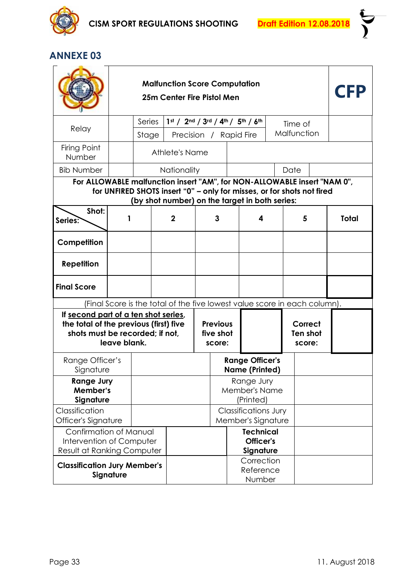

| <b>Malfunction Score Computation</b><br>25m Center Fire Pistol Men                                                |              |        |                |                                                   |                                            |                                                                                                                                                                                                      |  |                               |  |              |
|-------------------------------------------------------------------------------------------------------------------|--------------|--------|----------------|---------------------------------------------------|--------------------------------------------|------------------------------------------------------------------------------------------------------------------------------------------------------------------------------------------------------|--|-------------------------------|--|--------------|
| Relay                                                                                                             |              | Series |                |                                                   |                                            | 1st / 2nd / 3rd / 4th / 5th / 6th                                                                                                                                                                    |  | Time of                       |  |              |
|                                                                                                                   |              | Stage  |                |                                                   |                                            | Precision / Rapid Fire                                                                                                                                                                               |  | Malfunction                   |  |              |
| Firing Point<br>Number                                                                                            |              |        | Athlete's Name |                                                   |                                            |                                                                                                                                                                                                      |  |                               |  |              |
| <b>Bib Number</b>                                                                                                 |              |        | Nationality    |                                                   |                                            |                                                                                                                                                                                                      |  | Date                          |  |              |
| Shot:                                                                                                             |              |        |                |                                                   |                                            | For ALLOWABLE malfunction insert "AM", for NON-ALLOWABLE insert "NAM 0",<br>for UNFIRED SHOTS insert "0" - only for misses, or for shots not fired<br>(by shot number) on the target in both series: |  |                               |  |              |
| Series?                                                                                                           |              |        | $\mathbf 2$    |                                                   | 3                                          | 4                                                                                                                                                                                                    |  | 5                             |  | <b>Total</b> |
| Competition                                                                                                       |              |        |                |                                                   |                                            |                                                                                                                                                                                                      |  |                               |  |              |
| <b>Repetition</b>                                                                                                 |              |        |                |                                                   |                                            |                                                                                                                                                                                                      |  |                               |  |              |
| <b>Final Score</b>                                                                                                |              |        |                |                                                   |                                            |                                                                                                                                                                                                      |  |                               |  |              |
|                                                                                                                   |              |        |                |                                                   |                                            | (Final Score is the total of the five lowest value score in each column).                                                                                                                            |  |                               |  |              |
| If second part of a ten shot series,<br>the total of the previous (first) five<br>shots must be recorded; if not, | leave blank. |        |                | <b>Previous</b><br>five shot<br>score:            |                                            |                                                                                                                                                                                                      |  | Correct<br>Ten shot<br>score: |  |              |
| Range Officer's<br>Signature                                                                                      |              |        |                |                                                   |                                            | <b>Range Officer's</b><br><b>Name (Printed)</b>                                                                                                                                                      |  |                               |  |              |
| <b>Range Jury</b><br>Member's<br>Signature                                                                        |              |        |                |                                                   |                                            | Range Jury<br><b>Member's Name</b><br>(Printed)                                                                                                                                                      |  |                               |  |              |
| Classification<br>Officer's Signature                                                                             |              |        |                | <b>Classifications Jury</b><br>Member's Signature |                                            |                                                                                                                                                                                                      |  |                               |  |              |
| Confirmation of Manual<br>Intervention of Computer<br><b>Result at Ranking Computer</b>                           |              |        |                |                                                   | <b>Technical</b><br>Officer's<br>Signature |                                                                                                                                                                                                      |  |                               |  |              |
| <b>Classification Jury Member's</b>                                                                               | Signature    |        |                |                                                   |                                            | Correction<br>Reference<br>Number                                                                                                                                                                    |  |                               |  |              |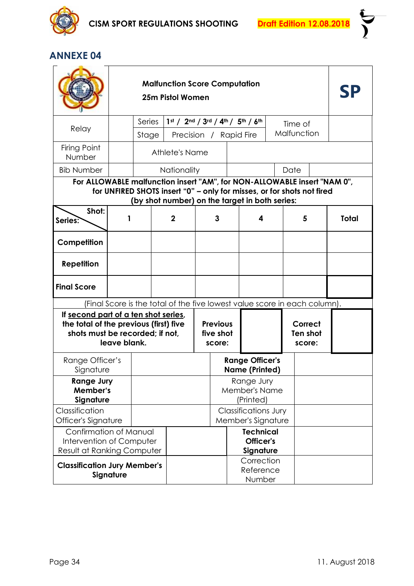

| <b>Malfunction Score Computation</b><br>25m Pistol Women                                                          |              |        |                |                                        |   |                                                                                                                                                                                                      |  |                               |  |              |
|-------------------------------------------------------------------------------------------------------------------|--------------|--------|----------------|----------------------------------------|---|------------------------------------------------------------------------------------------------------------------------------------------------------------------------------------------------------|--|-------------------------------|--|--------------|
| Relay                                                                                                             |              | Series |                |                                        |   | 1st / 2nd / 3rd / 4th / 5th / 6th                                                                                                                                                                    |  | Time of                       |  |              |
|                                                                                                                   |              | Stage  |                |                                        |   | Precision / Rapid Fire                                                                                                                                                                               |  | Malfunction                   |  |              |
| Firing Point<br>Number                                                                                            |              |        | Athlete's Name |                                        |   |                                                                                                                                                                                                      |  |                               |  |              |
| <b>Bib Number</b>                                                                                                 |              |        | Nationality    |                                        |   |                                                                                                                                                                                                      |  | Date                          |  |              |
| Shot:                                                                                                             |              |        |                |                                        |   | For ALLOWABLE malfunction insert "AM", for NON-ALLOWABLE insert "NAM 0",<br>for UNFIRED SHOTS insert "0" - only for misses, or for shots not fired<br>(by shot number) on the target in both series: |  |                               |  |              |
| Series:                                                                                                           | 1            |        | $\mathbf{2}$   |                                        | 3 | 4                                                                                                                                                                                                    |  | 5                             |  | <b>Total</b> |
| Competition                                                                                                       |              |        |                |                                        |   |                                                                                                                                                                                                      |  |                               |  |              |
| <b>Repetition</b>                                                                                                 |              |        |                |                                        |   |                                                                                                                                                                                                      |  |                               |  |              |
| <b>Final Score</b>                                                                                                |              |        |                |                                        |   |                                                                                                                                                                                                      |  |                               |  |              |
|                                                                                                                   |              |        |                |                                        |   | (Final Score is the total of the five lowest value score in each column).                                                                                                                            |  |                               |  |              |
| If second part of a ten shot series,<br>the total of the previous (first) five<br>shots must be recorded; if not, | leave blank. |        |                | <b>Previous</b><br>five shot<br>score: |   |                                                                                                                                                                                                      |  | Correct<br>Ten shot<br>score: |  |              |
| Range Officer's<br>Signature                                                                                      |              |        |                |                                        |   | <b>Range Officer's</b><br><b>Name (Printed)</b>                                                                                                                                                      |  |                               |  |              |
| <b>Range Jury</b><br>Member's<br>Signature                                                                        |              |        |                |                                        |   | Range Jury<br>Member's Name<br>(Printed)                                                                                                                                                             |  |                               |  |              |
| Classification<br>Officer's Signature                                                                             |              |        |                |                                        |   | <b>Classifications Jury</b><br>Member's Signature                                                                                                                                                    |  |                               |  |              |
| Confirmation of Manual<br>Intervention of Computer                                                                |              |        |                |                                        |   | <b>Technical</b><br>Officer's                                                                                                                                                                        |  |                               |  |              |
| Result at Ranking Computer                                                                                        |              |        |                |                                        |   | Signature                                                                                                                                                                                            |  |                               |  |              |
| <b>Classification Jury Member's</b>                                                                               | Signature    |        |                |                                        |   | Correction<br>Reference<br>Number                                                                                                                                                                    |  |                               |  |              |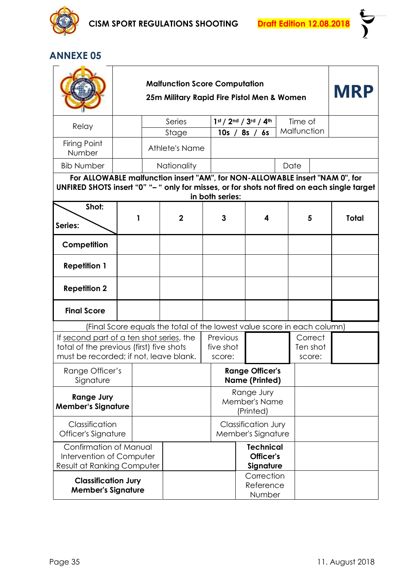

|                                                                                                                                                                                                |   |  | <b>MRP</b>                                                              |  |                                 |                                                  |  |                               |             |              |  |
|------------------------------------------------------------------------------------------------------------------------------------------------------------------------------------------------|---|--|-------------------------------------------------------------------------|--|---------------------------------|--------------------------------------------------|--|-------------------------------|-------------|--------------|--|
| Relay                                                                                                                                                                                          |   |  | Series                                                                  |  |                                 | 1st / 2nd / 3rd / 4th                            |  |                               | Time of     |              |  |
| Firing Point                                                                                                                                                                                   |   |  | Stage                                                                   |  | 10s /                           | 8s / 6s                                          |  |                               | Malfunction |              |  |
| Number                                                                                                                                                                                         |   |  | Athlete's Name                                                          |  |                                 |                                                  |  |                               |             |              |  |
| <b>Bib Number</b>                                                                                                                                                                              |   |  | <b>Nationality</b>                                                      |  |                                 |                                                  |  |                               | Date        |              |  |
| For ALLOWABLE malfunction insert "AM", for NON-ALLOWABLE insert "NAM 0", for<br>UNFIRED SHOTS insert "0" "- " only for misses, or for shots not fired on each single target<br>in both series: |   |  |                                                                         |  |                                 |                                                  |  |                               |             |              |  |
| Shot:<br>Series:                                                                                                                                                                               | 1 |  | $\mathbf{2}$                                                            |  | 3                               | 4                                                |  |                               | 5           | <b>Total</b> |  |
| Competition                                                                                                                                                                                    |   |  |                                                                         |  |                                 |                                                  |  |                               |             |              |  |
| <b>Repetition 1</b>                                                                                                                                                                            |   |  |                                                                         |  |                                 |                                                  |  |                               |             |              |  |
| <b>Repetition 2</b>                                                                                                                                                                            |   |  |                                                                         |  |                                 |                                                  |  |                               |             |              |  |
| <b>Final Score</b>                                                                                                                                                                             |   |  |                                                                         |  |                                 |                                                  |  |                               |             |              |  |
|                                                                                                                                                                                                |   |  | (Final Score equals the total of the lowest value score in each column) |  |                                 |                                                  |  |                               |             |              |  |
| If second part of a ten shot series, the<br>total of the previous (first) five shots<br>must be recorded; if not, leave blank.                                                                 |   |  |                                                                         |  | Previous<br>five shot<br>score: |                                                  |  | Correct<br>Ten shot<br>score: |             |              |  |
| Range Officer's<br>Signature                                                                                                                                                                   |   |  |                                                                         |  |                                 | <b>Range Officer's</b><br><b>Name (Printed)</b>  |  |                               |             |              |  |
| <b>Range Jury</b><br><b>Member's Signature</b>                                                                                                                                                 |   |  |                                                                         |  |                                 | Range Jury<br>Member's Name<br>(Printed)         |  |                               |             |              |  |
| Classification<br>Officer's Signature                                                                                                                                                          |   |  |                                                                         |  |                                 | <b>Classification Jury</b><br>Member's Signature |  |                               |             |              |  |
| Confirmation of Manual<br>Intervention of Computer<br>Result at Ranking Computer                                                                                                               |   |  | <b>Technical</b><br>Officer's<br>Signature                              |  |                                 |                                                  |  |                               |             |              |  |
| <b>Classification Jury</b><br><b>Member's Signature</b>                                                                                                                                        |   |  |                                                                         |  |                                 | Correction<br>Reference<br>Number                |  |                               |             |              |  |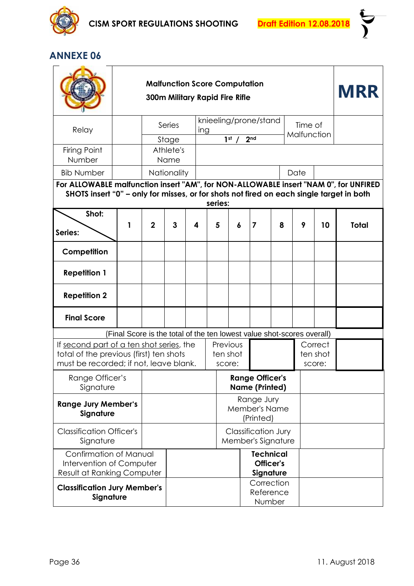

|                                                                                                                               |                                                                                                                                                                                                                    | <b>Malfunction Score Computation</b><br><b>300m Military Rapid Fire Rifle</b> |                    | <b>MRR</b>            |                                                  |                                                                                                          |                 |                                                 |                        |  |                               |    |              |
|-------------------------------------------------------------------------------------------------------------------------------|--------------------------------------------------------------------------------------------------------------------------------------------------------------------------------------------------------------------|-------------------------------------------------------------------------------|--------------------|-----------------------|--------------------------------------------------|----------------------------------------------------------------------------------------------------------|-----------------|-------------------------------------------------|------------------------|--|-------------------------------|----|--------------|
| Relay                                                                                                                         |                                                                                                                                                                                                                    | Series                                                                        | ing                | knieeling/prone/stand |                                                  |                                                                                                          |                 |                                                 | Time of<br>Malfunction |  |                               |    |              |
| Firing Point                                                                                                                  |                                                                                                                                                                                                                    |                                                                               | Stage<br>Athlete's |                       |                                                  | 1 <sup>st</sup>                                                                                          | 2 <sub>nd</sub> |                                                 |                        |  |                               |    |              |
| Number<br><b>Bib Number</b>                                                                                                   |                                                                                                                                                                                                                    |                                                                               | Name               |                       |                                                  |                                                                                                          |                 |                                                 |                        |  |                               |    |              |
|                                                                                                                               | Nationality<br>Date<br>For ALLOWABLE malfunction insert "AM", for NON-ALLOWABLE insert "NAM 0", for UNFIRED<br>SHOTS insert "0" - only for misses, or for shots not fired on each single target in both<br>series: |                                                                               |                    |                       |                                                  |                                                                                                          |                 |                                                 |                        |  |                               |    |              |
| Shot:<br>Series:                                                                                                              | 1                                                                                                                                                                                                                  | $\mathbf{2}$                                                                  | 3                  | 4                     | 5                                                | 6                                                                                                        |                 | $\overline{7}$                                  | 8                      |  | 9                             | 10 | <b>Total</b> |
| Competition                                                                                                                   |                                                                                                                                                                                                                    |                                                                               |                    |                       |                                                  |                                                                                                          |                 |                                                 |                        |  |                               |    |              |
| <b>Repetition 1</b>                                                                                                           |                                                                                                                                                                                                                    |                                                                               |                    |                       |                                                  |                                                                                                          |                 |                                                 |                        |  |                               |    |              |
| <b>Repetition 2</b>                                                                                                           |                                                                                                                                                                                                                    |                                                                               |                    |                       |                                                  |                                                                                                          |                 |                                                 |                        |  |                               |    |              |
| <b>Final Score</b>                                                                                                            |                                                                                                                                                                                                                    |                                                                               |                    |                       |                                                  |                                                                                                          |                 |                                                 |                        |  |                               |    |              |
| If second part of a ten shot series, the<br>total of the previous (first) ten shots<br>must be recorded; if not, leave blank. |                                                                                                                                                                                                                    |                                                                               |                    |                       |                                                  | (Final Score is the total of the ten lowest value shot-scores overall)<br>Previous<br>ten shot<br>score: |                 |                                                 |                        |  | Correct<br>ten shot<br>score: |    |              |
| Range Officer's<br>Signature                                                                                                  |                                                                                                                                                                                                                    |                                                                               |                    |                       |                                                  |                                                                                                          |                 | <b>Range Officer's</b><br><b>Name (Printed)</b> |                        |  |                               |    |              |
| <b>Range Jury Member's</b><br>Signature                                                                                       |                                                                                                                                                                                                                    |                                                                               |                    |                       |                                                  |                                                                                                          |                 | Range Jury<br>Member's Name<br>(Printed)        |                        |  |                               |    |              |
| <b>Classification Officer's</b><br>Signature                                                                                  |                                                                                                                                                                                                                    |                                                                               |                    |                       | <b>Classification Jury</b><br>Member's Signature |                                                                                                          |                 |                                                 |                        |  |                               |    |              |
| Confirmation of Manual<br>Intervention of Computer<br><b>Result at Ranking Computer</b>                                       |                                                                                                                                                                                                                    |                                                                               |                    |                       | <b>Technical</b><br>Officer's<br>Signature       |                                                                                                          |                 |                                                 |                        |  |                               |    |              |
| <b>Classification Jury Member's</b><br>Signature                                                                              |                                                                                                                                                                                                                    |                                                                               |                    |                       |                                                  |                                                                                                          |                 | Correction<br>Reference<br>Number               |                        |  |                               |    |              |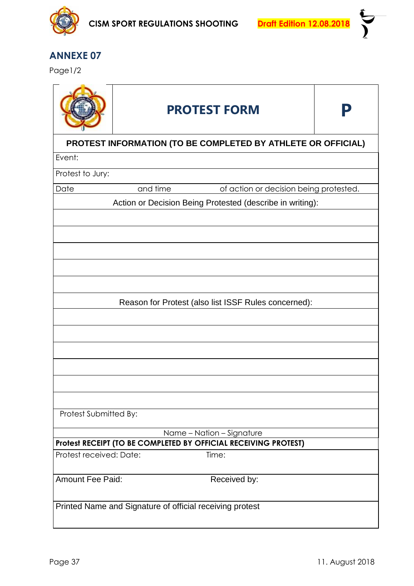

Page1/2

|                         | <b>PROTEST FORM</b>                                             |  |  |  |  |  |  |  |  |  |
|-------------------------|-----------------------------------------------------------------|--|--|--|--|--|--|--|--|--|
|                         | PROTEST INFORMATION (TO BE COMPLETED BY ATHLETE OR OFFICIAL)    |  |  |  |  |  |  |  |  |  |
| Event:                  |                                                                 |  |  |  |  |  |  |  |  |  |
| Protest to Jury:        |                                                                 |  |  |  |  |  |  |  |  |  |
| Date                    | and time<br>of action or decision being protested.              |  |  |  |  |  |  |  |  |  |
|                         | Action or Decision Being Protested (describe in writing):       |  |  |  |  |  |  |  |  |  |
|                         |                                                                 |  |  |  |  |  |  |  |  |  |
|                         |                                                                 |  |  |  |  |  |  |  |  |  |
|                         |                                                                 |  |  |  |  |  |  |  |  |  |
|                         |                                                                 |  |  |  |  |  |  |  |  |  |
|                         |                                                                 |  |  |  |  |  |  |  |  |  |
|                         |                                                                 |  |  |  |  |  |  |  |  |  |
|                         | Reason for Protest (also list ISSF Rules concerned):            |  |  |  |  |  |  |  |  |  |
|                         |                                                                 |  |  |  |  |  |  |  |  |  |
|                         |                                                                 |  |  |  |  |  |  |  |  |  |
|                         |                                                                 |  |  |  |  |  |  |  |  |  |
|                         |                                                                 |  |  |  |  |  |  |  |  |  |
|                         |                                                                 |  |  |  |  |  |  |  |  |  |
|                         |                                                                 |  |  |  |  |  |  |  |  |  |
|                         |                                                                 |  |  |  |  |  |  |  |  |  |
| Protest Submitted By:   |                                                                 |  |  |  |  |  |  |  |  |  |
|                         | Name - Nation - Signature                                       |  |  |  |  |  |  |  |  |  |
|                         | Protest RECEIPT (TO BE COMPLETED BY OFFICIAL RECEIVING PROTEST) |  |  |  |  |  |  |  |  |  |
| Protest received: Date: | Time:                                                           |  |  |  |  |  |  |  |  |  |
| <b>Amount Fee Paid:</b> | Received by:                                                    |  |  |  |  |  |  |  |  |  |
|                         | Printed Name and Signature of official receiving protest        |  |  |  |  |  |  |  |  |  |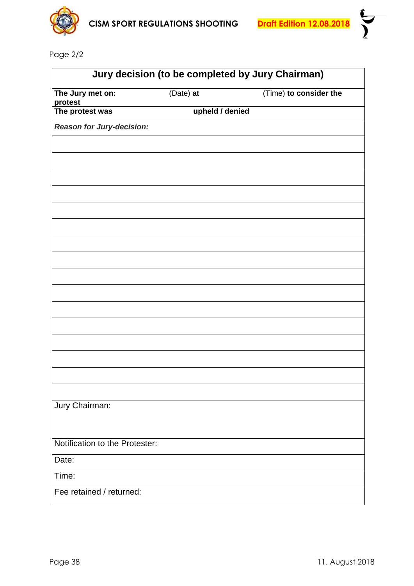

Page 2/2

| Jury decision (to be completed by Jury Chairman) |                 |                        |  |  |  |  |  |  |  |
|--------------------------------------------------|-----------------|------------------------|--|--|--|--|--|--|--|
| The Jury met on:<br>protest                      | (Date) at       | (Time) to consider the |  |  |  |  |  |  |  |
| The protest was                                  | upheld / denied |                        |  |  |  |  |  |  |  |
| Reason for Jury-decision:                        |                 |                        |  |  |  |  |  |  |  |
|                                                  |                 |                        |  |  |  |  |  |  |  |
|                                                  |                 |                        |  |  |  |  |  |  |  |
|                                                  |                 |                        |  |  |  |  |  |  |  |
|                                                  |                 |                        |  |  |  |  |  |  |  |
|                                                  |                 |                        |  |  |  |  |  |  |  |
|                                                  |                 |                        |  |  |  |  |  |  |  |
|                                                  |                 |                        |  |  |  |  |  |  |  |
|                                                  |                 |                        |  |  |  |  |  |  |  |
|                                                  |                 |                        |  |  |  |  |  |  |  |
|                                                  |                 |                        |  |  |  |  |  |  |  |
|                                                  |                 |                        |  |  |  |  |  |  |  |
|                                                  |                 |                        |  |  |  |  |  |  |  |
|                                                  |                 |                        |  |  |  |  |  |  |  |
|                                                  |                 |                        |  |  |  |  |  |  |  |
|                                                  |                 |                        |  |  |  |  |  |  |  |
|                                                  |                 |                        |  |  |  |  |  |  |  |
|                                                  |                 |                        |  |  |  |  |  |  |  |
| Jury Chairman:                                   |                 |                        |  |  |  |  |  |  |  |
|                                                  |                 |                        |  |  |  |  |  |  |  |
|                                                  |                 |                        |  |  |  |  |  |  |  |
| Notification to the Protester:                   |                 |                        |  |  |  |  |  |  |  |
| Date:                                            |                 |                        |  |  |  |  |  |  |  |
| Time:                                            |                 |                        |  |  |  |  |  |  |  |
| Fee retained / returned:                         |                 |                        |  |  |  |  |  |  |  |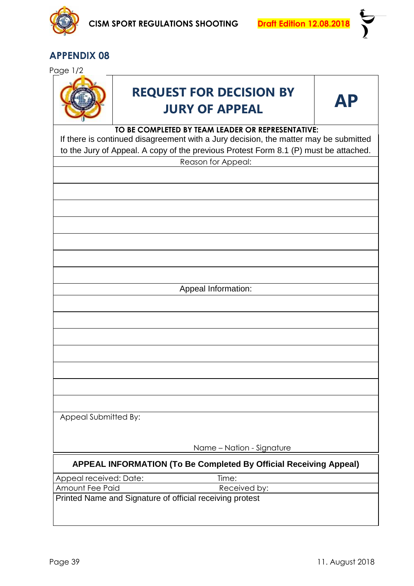

Page 1/2



# **REQUEST FOR DECISION BY JURY OF APPEAL AP**



#### **TO BE COMPLETED BY TEAM LEADER OR REPRESENTATIVE:**

If there is continued disagreement with a Jury decision, the matter may be submitted to the Jury of Appeal. A copy of the previous Protest Form 8.1 (P) must be attached.

|                        | $\frac{1}{2}$ into dary or $\frac{1}{2}$ points. The provided Frotoch Form 0.1 $\frac{1}{2}$ finder bo ditionion. |
|------------------------|-------------------------------------------------------------------------------------------------------------------|
|                        | Reason for Appeal:                                                                                                |
|                        |                                                                                                                   |
|                        |                                                                                                                   |
|                        |                                                                                                                   |
|                        |                                                                                                                   |
|                        |                                                                                                                   |
|                        |                                                                                                                   |
|                        |                                                                                                                   |
|                        | Appeal Information:                                                                                               |
|                        |                                                                                                                   |
|                        |                                                                                                                   |
|                        |                                                                                                                   |
|                        |                                                                                                                   |
|                        |                                                                                                                   |
|                        |                                                                                                                   |
|                        |                                                                                                                   |
| Appeal Submitted By:   |                                                                                                                   |
|                        |                                                                                                                   |
|                        |                                                                                                                   |
|                        | Name - Nation - Signature                                                                                         |
|                        | APPEAL INFORMATION (To Be Completed By Official Receiving Appeal)                                                 |
| Appeal received: Date: | Time:                                                                                                             |
| Amount Fee Paid        | Received by:                                                                                                      |

Printed Name and Signature of official receiving protest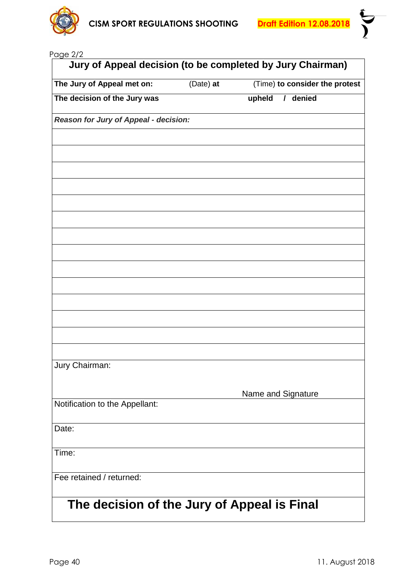

i<br>V<br>V

|  | Page 2/2 |  |
|--|----------|--|
|--|----------|--|

| The Jury of Appeal met on:                  | (Date) at | (Time) to consider the protest |
|---------------------------------------------|-----------|--------------------------------|
| The decision of the Jury was                |           | / denied<br>upheld             |
| Reason for Jury of Appeal - decision:       |           |                                |
|                                             |           |                                |
|                                             |           |                                |
|                                             |           |                                |
|                                             |           |                                |
|                                             |           |                                |
|                                             |           |                                |
|                                             |           |                                |
|                                             |           |                                |
|                                             |           |                                |
|                                             |           |                                |
|                                             |           |                                |
|                                             |           |                                |
|                                             |           |                                |
| Jury Chairman:                              |           |                                |
|                                             |           |                                |
| Notification to the Appellant:              |           | Name and Signature             |
|                                             |           |                                |
| Date:                                       |           |                                |
| Time:                                       |           |                                |
| Fee retained / returned:                    |           |                                |
| The decision of the Jury of Appeal is Final |           |                                |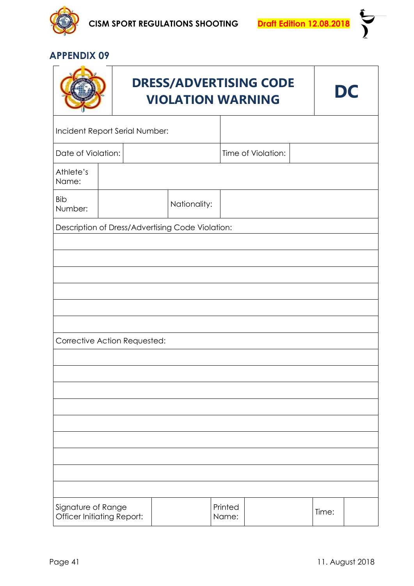



|                                                         |                                                  | <b>DRESS/ADVERTISING CODE</b><br><b>VIOLATION WARNING</b> |              | DC      |  |  |       |  |  |  |
|---------------------------------------------------------|--------------------------------------------------|-----------------------------------------------------------|--------------|---------|--|--|-------|--|--|--|
| Incident Report Serial Number:                          |                                                  |                                                           |              |         |  |  |       |  |  |  |
|                                                         | Date of Violation:<br>Time of Violation:         |                                                           |              |         |  |  |       |  |  |  |
| Athlete's<br>Name:                                      |                                                  |                                                           |              |         |  |  |       |  |  |  |
| <b>Bib</b><br>Number:                                   |                                                  |                                                           | Nationality: |         |  |  |       |  |  |  |
|                                                         | Description of Dress/Advertising Code Violation: |                                                           |              |         |  |  |       |  |  |  |
|                                                         |                                                  |                                                           |              |         |  |  |       |  |  |  |
|                                                         |                                                  |                                                           |              |         |  |  |       |  |  |  |
|                                                         |                                                  |                                                           |              |         |  |  |       |  |  |  |
|                                                         |                                                  |                                                           |              |         |  |  |       |  |  |  |
| Corrective Action Requested:                            |                                                  |                                                           |              |         |  |  |       |  |  |  |
|                                                         |                                                  |                                                           |              |         |  |  |       |  |  |  |
|                                                         |                                                  |                                                           |              |         |  |  |       |  |  |  |
|                                                         |                                                  |                                                           |              |         |  |  |       |  |  |  |
|                                                         |                                                  |                                                           |              |         |  |  |       |  |  |  |
|                                                         |                                                  |                                                           |              |         |  |  |       |  |  |  |
|                                                         |                                                  |                                                           |              |         |  |  |       |  |  |  |
|                                                         |                                                  |                                                           |              |         |  |  |       |  |  |  |
|                                                         |                                                  |                                                           |              | Printed |  |  |       |  |  |  |
| Signature of Range<br><b>Officer Initiating Report:</b> |                                                  |                                                           |              | Name:   |  |  | Time: |  |  |  |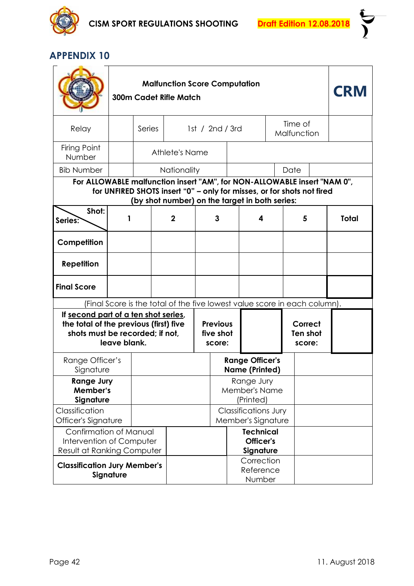

| <b>Malfunction Score Computation</b><br><b>300m Cadet Rifle Match</b>                                                             |                                                                                                                                                                                                      |        |                                                                           |                                          |                                                   |  |                                                 |  | <b>CRM</b>                    |  |              |
|-----------------------------------------------------------------------------------------------------------------------------------|------------------------------------------------------------------------------------------------------------------------------------------------------------------------------------------------------|--------|---------------------------------------------------------------------------|------------------------------------------|---------------------------------------------------|--|-------------------------------------------------|--|-------------------------------|--|--------------|
| Relay                                                                                                                             |                                                                                                                                                                                                      | Series |                                                                           |                                          | 1st / 2nd / 3rd                                   |  |                                                 |  | Time of<br>Malfunction        |  |              |
| Firing Point<br>Number                                                                                                            |                                                                                                                                                                                                      |        |                                                                           | Athlete's Name                           |                                                   |  |                                                 |  |                               |  |              |
| <b>Bib Number</b>                                                                                                                 |                                                                                                                                                                                                      |        | <b>Nationality</b>                                                        |                                          |                                                   |  |                                                 |  | Date                          |  |              |
|                                                                                                                                   | For ALLOWABLE malfunction insert "AM", for NON-ALLOWABLE insert "NAM 0",<br>for UNFIRED SHOTS insert "0" - only for misses, or for shots not fired<br>(by shot number) on the target in both series: |        |                                                                           |                                          |                                                   |  |                                                 |  |                               |  |              |
| Shot:<br>Series:                                                                                                                  |                                                                                                                                                                                                      |        | $\mathbf 2$                                                               | 3                                        |                                                   |  | 4                                               |  | 5                             |  | <b>Total</b> |
| Competition                                                                                                                       |                                                                                                                                                                                                      |        |                                                                           |                                          |                                                   |  |                                                 |  |                               |  |              |
| <b>Repetition</b>                                                                                                                 |                                                                                                                                                                                                      |        |                                                                           |                                          |                                                   |  |                                                 |  |                               |  |              |
| <b>Final Score</b>                                                                                                                |                                                                                                                                                                                                      |        |                                                                           |                                          |                                                   |  |                                                 |  |                               |  |              |
|                                                                                                                                   |                                                                                                                                                                                                      |        | (Final Score is the total of the five lowest value score in each column). |                                          |                                                   |  |                                                 |  |                               |  |              |
| If second part of a ten shot series,<br>the total of the previous (first) five<br>shots must be recorded; if not,<br>leave blank. |                                                                                                                                                                                                      |        |                                                                           |                                          | <b>Previous</b><br>five shot<br>score:            |  |                                                 |  | Correct<br>Ten shot<br>score: |  |              |
| Range Officer's<br>Signature                                                                                                      |                                                                                                                                                                                                      |        |                                                                           |                                          |                                                   |  | <b>Range Officer's</b><br><b>Name (Printed)</b> |  |                               |  |              |
| <b>Range Jury</b><br>Member's<br>Signature                                                                                        |                                                                                                                                                                                                      |        |                                                                           | Range Jury<br>Member's Name<br>(Printed) |                                                   |  |                                                 |  |                               |  |              |
| Classification                                                                                                                    | Officer's Signature                                                                                                                                                                                  |        |                                                                           |                                          | <b>Classifications Jury</b><br>Member's Signature |  |                                                 |  |                               |  |              |
| <b>Confirmation of Manual</b><br>Intervention of Computer                                                                         |                                                                                                                                                                                                      |        |                                                                           |                                          |                                                   |  | <b>Technical</b><br>Officer's<br>Signature      |  |                               |  |              |
| Result at Ranking Computer<br><b>Classification Jury Member's</b><br>Signature                                                    |                                                                                                                                                                                                      |        |                                                                           |                                          |                                                   |  | Correction<br>Reference<br>Number               |  |                               |  |              |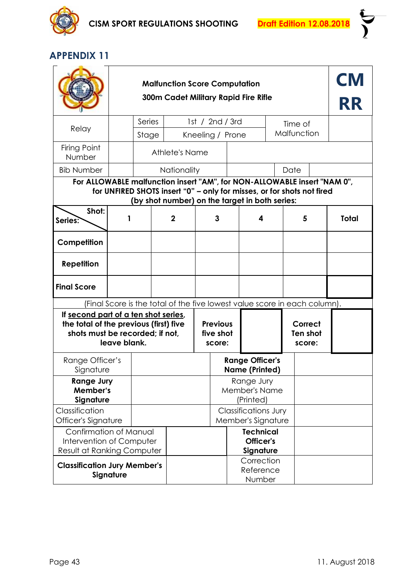

| <b>Malfunction Score Computation</b><br><b>300m Cadet Military Rapid Fire Rifle</b>                                               |                                                                                                                                                                                                      |        |                                                                           |                                                 |                  |                                                   |                               |             |  | <b>CM</b><br><b>RR</b> |
|-----------------------------------------------------------------------------------------------------------------------------------|------------------------------------------------------------------------------------------------------------------------------------------------------------------------------------------------------|--------|---------------------------------------------------------------------------|-------------------------------------------------|------------------|---------------------------------------------------|-------------------------------|-------------|--|------------------------|
| Relay                                                                                                                             |                                                                                                                                                                                                      | Series |                                                                           |                                                 | 1st / 2nd / 3rd  |                                                   |                               | Time of     |  |                        |
|                                                                                                                                   |                                                                                                                                                                                                      | Stage  |                                                                           |                                                 | Kneeling / Prone |                                                   |                               | Malfunction |  |                        |
| Firing Point<br>Number                                                                                                            |                                                                                                                                                                                                      |        | Athlete's Name                                                            |                                                 |                  |                                                   |                               |             |  |                        |
| <b>Bib Number</b>                                                                                                                 |                                                                                                                                                                                                      |        | Nationality                                                               |                                                 |                  |                                                   |                               | Date        |  |                        |
| Shot:                                                                                                                             | For ALLOWABLE malfunction insert "AM", for NON-ALLOWABLE insert "NAM 0",<br>for UNFIRED SHOTS insert "0" - only for misses, or for shots not fired<br>(by shot number) on the target in both series: |        |                                                                           |                                                 |                  |                                                   |                               |             |  |                        |
| Series?                                                                                                                           |                                                                                                                                                                                                      |        | $\mathbf 2$                                                               |                                                 | 3<br>4           |                                                   |                               | 5           |  | <b>Total</b>           |
| Competition                                                                                                                       |                                                                                                                                                                                                      |        |                                                                           |                                                 |                  |                                                   |                               |             |  |                        |
| <b>Repetition</b>                                                                                                                 |                                                                                                                                                                                                      |        |                                                                           |                                                 |                  |                                                   |                               |             |  |                        |
| <b>Final Score</b>                                                                                                                |                                                                                                                                                                                                      |        |                                                                           |                                                 |                  |                                                   |                               |             |  |                        |
|                                                                                                                                   |                                                                                                                                                                                                      |        | (Final Score is the total of the five lowest value score in each column). |                                                 |                  |                                                   |                               |             |  |                        |
| If second part of a ten shot series,<br>the total of the previous (first) five<br>shots must be recorded; if not,<br>leave blank. |                                                                                                                                                                                                      |        |                                                                           | <b>Previous</b><br>five shot<br>score:          |                  |                                                   | Correct<br>Ten shot<br>score: |             |  |                        |
| Range Officer's<br>Signature                                                                                                      |                                                                                                                                                                                                      |        |                                                                           |                                                 |                  | <b>Range Officer's</b><br><b>Name (Printed)</b>   |                               |             |  |                        |
| <b>Range Jury</b><br>Member's<br>Signature                                                                                        |                                                                                                                                                                                                      |        |                                                                           | Range Jury<br><b>Member's Name</b><br>(Printed) |                  |                                                   |                               |             |  |                        |
| Classification<br>Officer's Signature                                                                                             |                                                                                                                                                                                                      |        |                                                                           |                                                 |                  | <b>Classifications Jury</b><br>Member's Signature |                               |             |  |                        |
| Confirmation of Manual<br>Intervention of Computer<br><b>Result at Ranking Computer</b>                                           |                                                                                                                                                                                                      |        |                                                                           |                                                 |                  | <b>Technical</b><br>Officer's<br>Signature        |                               |             |  |                        |
| <b>Classification Jury Member's</b><br>Signature                                                                                  |                                                                                                                                                                                                      |        |                                                                           |                                                 |                  | Correction<br>Reference<br>Number                 |                               |             |  |                        |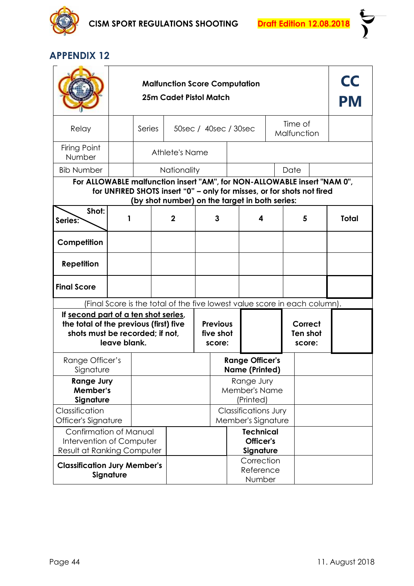

| <b>Malfunction Score Computation</b><br><b>25m Cadet Pistol Match</b>                                                             |                                                                                                                                                                                                      |        |                                                                           |                                                   |   |                                                 |                                            |                        | CC<br>PM |              |
|-----------------------------------------------------------------------------------------------------------------------------------|------------------------------------------------------------------------------------------------------------------------------------------------------------------------------------------------------|--------|---------------------------------------------------------------------------|---------------------------------------------------|---|-------------------------------------------------|--------------------------------------------|------------------------|----------|--------------|
| Relay                                                                                                                             |                                                                                                                                                                                                      | Series |                                                                           |                                                   |   | 50sec / 40sec / 30sec                           |                                            | Time of<br>Malfunction |          |              |
| Firing Point<br>Number                                                                                                            |                                                                                                                                                                                                      |        | Athlete's Name                                                            |                                                   |   |                                                 |                                            |                        |          |              |
| <b>Bib Number</b>                                                                                                                 |                                                                                                                                                                                                      |        | Nationality                                                               |                                                   |   |                                                 |                                            | Date                   |          |              |
|                                                                                                                                   | For ALLOWABLE malfunction insert "AM", for NON-ALLOWABLE insert "NAM 0",<br>for UNFIRED SHOTS insert "0" - only for misses, or for shots not fired<br>(by shot number) on the target in both series: |        |                                                                           |                                                   |   |                                                 |                                            |                        |          |              |
| Shot:<br>Series?                                                                                                                  |                                                                                                                                                                                                      |        | $\mathbf 2$                                                               |                                                   | 3 |                                                 | 4                                          | 5                      |          | <b>Total</b> |
| Competition                                                                                                                       |                                                                                                                                                                                                      |        |                                                                           |                                                   |   |                                                 |                                            |                        |          |              |
| <b>Repetition</b>                                                                                                                 |                                                                                                                                                                                                      |        |                                                                           |                                                   |   |                                                 |                                            |                        |          |              |
| <b>Final Score</b>                                                                                                                |                                                                                                                                                                                                      |        |                                                                           |                                                   |   |                                                 |                                            |                        |          |              |
|                                                                                                                                   |                                                                                                                                                                                                      |        | (Final Score is the total of the five lowest value score in each column). |                                                   |   |                                                 |                                            |                        |          |              |
| If second part of a ten shot series,<br>the total of the previous (first) five<br>shots must be recorded; if not,<br>leave blank. |                                                                                                                                                                                                      |        |                                                                           | <b>Previous</b><br>five shot<br>score:            |   |                                                 | Correct<br>Ten shot<br>score:              |                        |          |              |
| Range Officer's<br>Signature                                                                                                      |                                                                                                                                                                                                      |        |                                                                           |                                                   |   | <b>Range Officer's</b><br><b>Name (Printed)</b> |                                            |                        |          |              |
| <b>Range Jury</b><br>Member's<br>Signature                                                                                        |                                                                                                                                                                                                      |        | Range Jury<br><b>Member's Name</b><br>(Printed)                           |                                                   |   |                                                 |                                            |                        |          |              |
| Classification                                                                                                                    | Officer's Signature                                                                                                                                                                                  |        |                                                                           | <b>Classifications Jury</b><br>Member's Signature |   |                                                 |                                            |                        |          |              |
| Confirmation of Manual<br>Intervention of Computer<br><b>Result at Ranking Computer</b>                                           |                                                                                                                                                                                                      |        |                                                                           |                                                   |   |                                                 | <b>Technical</b><br>Officer's<br>Signature |                        |          |              |
| <b>Classification Jury Member's</b><br>Signature                                                                                  |                                                                                                                                                                                                      |        |                                                                           |                                                   |   |                                                 | Correction<br>Reference<br>Number          |                        |          |              |